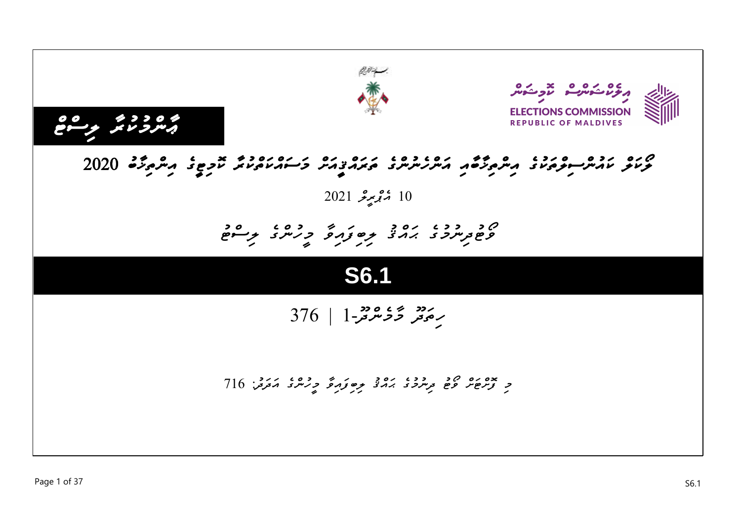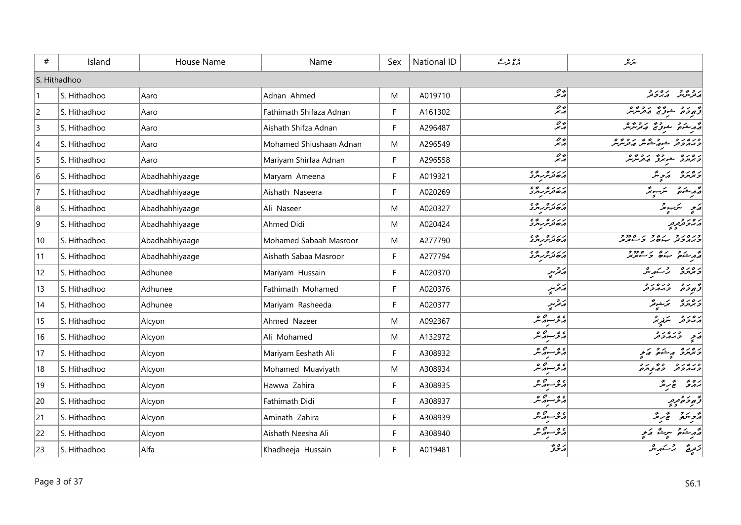| #                        | Island       | House Name     | Name                    | Sex | National ID | ، ه ، بر <u>م</u>                    | ىئرىتر                                           |
|--------------------------|--------------|----------------|-------------------------|-----|-------------|--------------------------------------|--------------------------------------------------|
|                          | S. Hithadhoo |                |                         |     |             |                                      |                                                  |
|                          | S. Hithadhoo | Aaro           | Adnan Ahmed             | M   | A019710     | پڑ                                   | روم و ره رو                                      |
| $\overline{c}$           | S. Hithadhoo | Aaro           | Fathimath Shifaza Adnan | F   | A161302     | پري                                  | ژودۇ جۇڭ مەرگىر                                  |
| $\overline{3}$           | S. Hithadhoo | Aaro           | Aishath Shifza Adnan    | F   | A296487     | پڑ                                   | مەم ئىكىمى ئىستى ئەمەر ئىرىكى                    |
| $\overline{\mathcal{A}}$ | S. Hithadhoo | Aaro           | Mohamed Shiushaan Adnan | M   | A296549     | پر جر                                |                                                  |
| 5                        | S. Hithadhoo | Aaro           | Mariyam Shirfaa Adnan   | F   | A296558     | پڑ                                   | ر ٥ ر ٥ ر و ٥ د ٥ د ٥ د ٥<br>و بربرو سينزل اړترس |
| $\,$ 6                   | S. Hithadhoo | Abadhahhiyaage | Maryam Ameena           | F   | A019321     | ر که تر شر برد ؟<br>مرگه تر شر برد ؟ | د وره د د پر                                     |
| $\overline{7}$           | S. Hithadhoo | Abadhahhiyaage | Aishath Naseera         | F   | A020269     | ر ر ر ه<br>پرېفر تر ر بر د           | أقهر مشكرة التكريبونتي                           |
| 8                        | S. Hithadhoo | Abadhahhiyaage | Ali Naseer              | M   | A020327     | <br>  د ځه تر تر بر بر د             | كالمج الكرسولي                                   |
| $\boldsymbol{9}$         | S. Hithadhoo | Abadhahhiyaage | Ahmed Didi              | M   | A020424     | ر ر ر ه<br>پرې تر بر بر و            | ر و ر و<br>د بر و ترتربر                         |
| 10                       | S. Hithadhoo | Abadhahhiyaage | Mohamed Sabaah Masroor  | M   | A277790     | ىر ئەرەر بەر<br>مەھەر ئىرىر بىرى     |                                                  |
| 11                       | S. Hithadhoo | Abadhahhiyaage | Aishath Sabaa Masroor   | F   | A277794     | ر که کر کر مرگز<br>مرگ کر مرکز ک     | ورشني بنته وسير                                  |
| 12                       | S. Hithadhoo | Adhunee        | Mariyam Hussain         | F   | A020370     | رتھ<br>اقتصریبر                      | و مره د مرد ه                                    |
| 13                       | S. Hithadhoo | Adhunee        | Fathimath Mohamed       | F   | A020376     | أروبير                               | و ده دره در                                      |
| 14                       | S. Hithadhoo | Adhunee        | Mariyam Rasheeda        | F   | A020377     | ارته فرمبر                           | رەرە بەجەنگە                                     |
| 15                       | S. Hithadhoo | Alcyon         | Ahmed Nazeer            | M   | A092367     | ومحرسوهم                             | أرەر ئە سەر ئىر                                  |
| 16                       | S. Hithadhoo | Alcyon         | Ali Mohamed             | M   | A132972     | ، و سره مر<br>مرغ سره مر             | أحكمي وره رد                                     |
| 17                       | S. Hithadhoo | Alcyon         | Mariyam Eeshath Ali     | F   | A308932     | ومحرسوهمر                            | و وره په شوه کرم                                 |
| 18                       | S. Hithadhoo | Alcyon         | Mohamed Muaviyath       | M   | A308934     | ومحرسوهمبر                           | כנסנכ כבינב                                      |
| 19                       | S. Hithadhoo | Alcyon         | Hawwa Zahira            | F   | A308935     | ە ۋىسە <i>م</i> بىر                  | برەۋ ئېرىتە                                      |
| 20                       | S. Hithadhoo | Alcyon         | Fathimath Didi          | F   | A308937     | ە ۋىسە <i>م</i> بىر                  | ۇ بەر ئەتەرىر                                    |
| 21                       | S. Hithadhoo | Alcyon         | Aminath Zahira          | F   | A308939     | ە ۋىسە <i>م</i> تىر<br>م             | أأدجن أأدبته                                     |
| 22                       | S. Hithadhoo | Alcyon         | Aishath Neesha Ali      | F   | A308940     | ە ۋىسە <i>م</i> بىر                  | أأمر يشكا أأسر المنفر أأكرم                      |
| 23                       | S. Hithadhoo | Alfa           | Khadheeja Hussain       | F   | A019481     | پره پيچ                              | أرَسِيعٌ بِرَسَمَ شَرَ                           |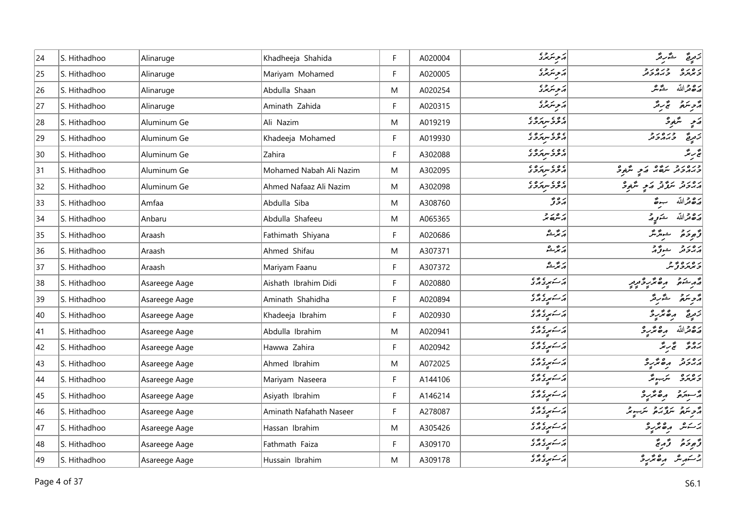| 24 | S. Hithadhoo | Alinaruge     | Khadheeja Shahida       | F  | A020004 | أرمو بتزبره                                     | ستەرىتر<br>  ترموقے<br>                                |
|----|--------------|---------------|-------------------------|----|---------|-------------------------------------------------|--------------------------------------------------------|
| 25 | S. Hithadhoo | Alinaruge     | Mariyam Mohamed         | F  | A020005 | برويروء                                         | ويوبره<br>و ر ه ر د<br>تر پر ژ تر                      |
| 26 | S. Hithadhoo | Alinaruge     | Abdulla Shaan           | M  | A020254 | لأحر يترجرنا                                    | برە تراللە<br>ىشەھر                                    |
| 27 | S. Hithadhoo | Alinaruge     | Aminath Zahida          | F. | A020315 | يروسروه                                         | أرمر تركيح<br>ىچ رىتر                                  |
| 28 | S. Hithadhoo | Aluminum Ge   | Ali Nazim               | M  | A019219 | ء و ۽ سر <i>د</i> ه ۽                           | ړې ش <sub>غو</sub> د                                   |
| 29 | S. Hithadhoo | Aluminum Ge   | Khadeeja Mohamed        | F  | A019930 | ه و ه د ه ه ه<br>مرکز سرگرد د                   | رَ ورِجَّ<br>رَ ورِجَّ<br>و رە ر د<br><i>د بە</i> د تر |
| 30 | S. Hithadhoo | Aluminum Ge   | Zahira                  | F  | A302088 | ووء سرده و<br>  مرکز سرد د                      | پر<br>پنج سرچڻه                                        |
| 31 | S. Hithadhoo | Aluminum Ge   | Mohamed Nabah Ali Nazim | M  | A302095 | ء وء سرد و ۽<br>مرڪز سرمرد <sub>ک</sub>         | ورەر د بروم كړم شرك                                    |
| 32 | S. Hithadhoo | Aluminum Ge   | Ahmed Nafaaz Ali Nazim  | M  | A302098 | ءوء سروء                                        | رورد تردو كالمح شروط                                   |
| 33 | S. Hithadhoo | Amfaa         | Abdulla Siba            | M  | A308760 | رەپى                                            | مَدْهُ قَدْ اللّه سِعدَّة                              |
| 34 | S. Hithadhoo | Anbaru        | Abdulla Shafeeu         | M  | A065365 | برەيرى                                          | ەھىراللە<br>شتور                                       |
| 35 | S. Hithadhoo | Araash        | Fathimath Shiyana       | F. | A020686 | ىر تېرىشە                                       | شەدگرىگر<br>ۇ بور د                                    |
| 36 | S. Hithadhoo | Araash        | Ahmed Shifau            | M  | A307371 | ىرىتىرىشە                                       | أربر ور و المستوفر                                     |
| 37 | S. Hithadhoo | Araash        | Mariyam Faanu           | F  | A307372 | برىژىشە                                         | ر ه ر ه و و.<br><del>د</del> بربرو ژ س                 |
| 38 | S. Hithadhoo | Asareege Aage | Aishath Ibrahim Didi    | F  | A020880 | پر سر پر پر پر پر<br>  پر سنو پیر پر پر         | و د شوه موه تر د و در د                                |
| 39 | S. Hithadhoo | Asareege Aage | Aminath Shahidha        | F  | A020894 | پر سر پر پر پر پر<br>  پر سنو پر پر پر          | ومحر المتعادية                                         |
| 40 | S. Hithadhoo | Asareege Aage | Khadeeja Ibrahim        | F. | A020930 | ئەسكەپرى تەرى<br>  ئەسكەپرى تەرى                | أرَسِيَّة مِنْ مُحَمَّدِة و                            |
| 41 | S. Hithadhoo | Asareege Aage | Abdulla Ibrahim         | M  | A020941 | ىر سەيدى دى<br>مەسىرى مەد                       | ة صرالله<br>مەھمەرد                                    |
| 42 | S. Hithadhoo | Asareege Aage | Hawwa Zahira            | F  | A020942 | ېز سنوپرۍ دي.<br>م                              | رە پە<br>پەرى<br>پھ ريگر<br>س                          |
| 43 | S. Hithadhoo | Asareege Aage | Ahmed Ibrahim           | M  | A072025 | ىر سەمبەدى.<br>مەسىمبەدى                        | ر ە ر د<br>ە ھەترىر ۋ                                  |
| 44 | S. Hithadhoo | Asareege Aage | Mariyam Naseera         | F  | A144106 | پر سے پر <sup>ی پر</sup> ی                      | ىئرىبەتتر<br>ر ہ ر ہ<br><del>ر</del> بربرو             |
| 45 | S. Hithadhoo | Asareege Aage | Asiyath Ibrahim         | F  | A146214 | پر سر پر پر پر پر<br>  پر سنو پر پر پر          | ومستروه وكالمرباد                                      |
| 46 | S. Hithadhoo | Asareege Aage | Aminath Nafahath Naseer | F. | A278087 | پر سر پر ور و<br>  پر سر پر پر ور و             | أدوسي سرور برب                                         |
| 47 | S. Hithadhoo | Asareege Aage | Hassan Ibrahim          | M  | A305426 | ئەسىئوپرىدى                                     | برسكش مقتررة                                           |
| 48 | S. Hithadhoo | Asareege Aage | Fathmath Faiza          | F  | A309170 | پر سے پر <sup>ی پو</sup> ی                      | وٌوِدَهُ وَ"                                           |
| 49 | S. Hithadhoo | Asareege Aage | Hussain Ibrahim         | M  | A309178 | پر سے پر <sup>ی پر</sup> ی<br>  پر سے پر ی پر ی | بر سکه شهر مره تر برد                                  |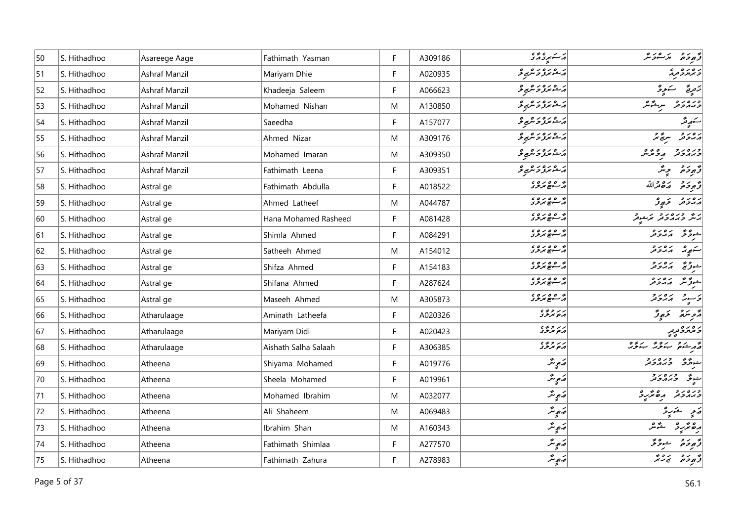| 50 | S. Hithadhoo | Asareege Aage        | Fathimath Yasman     | F           | A309186 | ئەسكەپرى ئەمى                                             | ىر ھەئەھر<br>و محرم د<br>اقرام در مح                    |
|----|--------------|----------------------|----------------------|-------------|---------|-----------------------------------------------------------|---------------------------------------------------------|
| 51 | S. Hithadhoo | <b>Ashraf Manzil</b> | Mariyam Dhie         | F           | A020935 | پر ۵۰۵۰ و بر ۵ بر ۶                                       | د ه بر ه بره                                            |
| 52 | S. Hithadhoo | Ashraf Manzil        | Khadeeja Saleem      | F           | A066623 | پر ۵۰۰ <u>۰</u> و ۶ رپولو                                 | زَمِرِيَّ سَنَجِرَدُّ                                   |
| 53 | S. Hithadhoo | Ashraf Manzil        | Mohamed Nishan       | M           | A130850 | ىز شەندى <sub>ر خ</sub> ەر بىرى<br>مەشھ <i>ىرى خ</i> ەشبى | ورەرو سىشەر                                             |
| 54 | S. Hithadhoo | Ashraf Manzil        | Saeedha              | $\mathsf F$ | A157077 | پر ۵۰۵۰ و بر ۵ بر ۶                                       | سەرپەتتە                                                |
| 55 | S. Hithadhoo | Ashraf Manzil        | Ahmed Nizar          | M           | A309176 | ىز شەنزى <sub>ر</sub> تەرىپ تۈ                            | أرەر دىكى ئى                                            |
| 56 | S. Hithadhoo | Ashraf Manzil        | Mohamed Imaran       | ${\sf M}$   | A309350 | ئەشمىر ئەر ھەيج مى                                        | ورەرو ھەمھىر                                            |
| 57 | S. Hithadhoo | Ashraf Manzil        | Fathimath Leena      | F           | A309351 | ىر شەنزى <i>ر جىرىنې</i> بىر                              | قهوزه ويتر                                              |
| 58 | S. Hithadhoo | Astral ge            | Fathimath Abdulla    | F           | A018522 | پر ٥٥ ره ٥<br>در سوچ برمرد                                | و ده ماه مالله                                          |
| 59 | S. Hithadhoo | Astral ge            | Ahmed Latheef        | M           | A044787 | پ <sub>ر ۱</sub> ۵۵۵ و <sup>م</sup>                       | رەر ئەچۇ                                                |
| 60 | S. Hithadhoo | Astral ge            | Hana Mohamed Rasheed | F           | A081428 | پر ٥٥ ره ٥<br>در سوچ <del>تر و</del> د                    | ر و دره رو بر دور                                       |
| 61 | S. Hithadhoo | Astral ge            | Shimla Ahmed         | F           | A084291 | پر ۱۵ ۵ ره ۷<br>در سوچ بربر د                             | $\frac{1}{2}$                                           |
| 62 | S. Hithadhoo | Astral ge            | Satheeh Ahmed        | ${\sf M}$   | A154012 | پر ۵ ۵ رو ،<br>تر سوچ ترنو <sub>ک</sub>                   | سَمِي دَ مَ بَرَه مَرَ مَرَ                             |
| 63 | S. Hithadhoo | Astral ge            | Shifza Ahmed         | $\mathsf F$ | A154183 | پ <sub>ر ۱</sub> ۵۵ د ه ،<br>د ک                          | أشوقرنج أرورو                                           |
| 64 | S. Hithadhoo | Astral ge            | Shifana Ahmed        | F           | A287624 | پر مەھ برە ي<br>تر سىھ مرمو ي                             | سورٌ سَرَ در و                                          |
| 65 | S. Hithadhoo | Astral ge            | Maseeh Ahmed         | ${\sf M}$   | A305873 | پ <sub>ر ۱</sub> ۵۵ د ه ،<br>در سوچ برمرد                 | ى سەير بەردىر<br>مەنبە                                  |
| 66 | S. Hithadhoo | Atharulaage          | Aminath Latheefa     | F           | A020326 | ر ر د د ،<br>پره برنژ د                                   | أزوينهم كالجوقر                                         |
| 67 | S. Hithadhoo | Atharulaage          | Mariyam Didi         | F           | A020423 | ر ر د د ،<br>پره برو د                                    | ر ج بره د ورور<br>د بر برگورور                          |
| 68 | S. Hithadhoo | Atharulaage          | Aishath Salha Salaah | F           | A306385 | ر ر و د ،<br>پره برڅ د                                    |                                                         |
| 69 | S. Hithadhoo | Atheena              | Shiyama Mohamed      | F           | A019776 | رَ جو مَرَّ                                               |                                                         |
| 70 | S. Hithadhoo | Atheena              | Sheela Mohamed       | $\mathsf F$ | A019961 | ر<br>مۇمچە ئىگر                                           | شوقر وبرە رو<br>  ئۇقر بىر ئەرىخ                        |
| 71 | S. Hithadhoo | Atheena              | Mohamed Ibrahim      | M           | A032077 | لهَ جو متَر                                               | בנסנכ תפתיפ                                             |
| 72 | S. Hithadhoo | Atheena              | Ali Shaheem          | ${\sf M}$   | A069483 | لهَ جو متَر                                               | أركمني المتكريني                                        |
| 73 | S. Hithadhoo | Atheena              | Ibrahim Shan         | ${\sf M}$   | A160343 | لهَ جو متَر                                               | ا پر ھو پڻر پار د<br>ىشەھر                              |
| 74 | S. Hithadhoo | Atheena              | Fathimath Shimlaa    | $\mathsf F$ | A277570 | لهَ جو يتَر                                               | وحجاجهم<br>شوره مخر<br>ر                                |
| 75 | S. Hithadhoo | Atheena              | Fathimath Zahura     | F           | A278983 | لهَ جو متَر                                               | $\frac{2}{2}$ $\frac{2}{2}$ $\frac{2}{2}$ $\frac{2}{2}$ |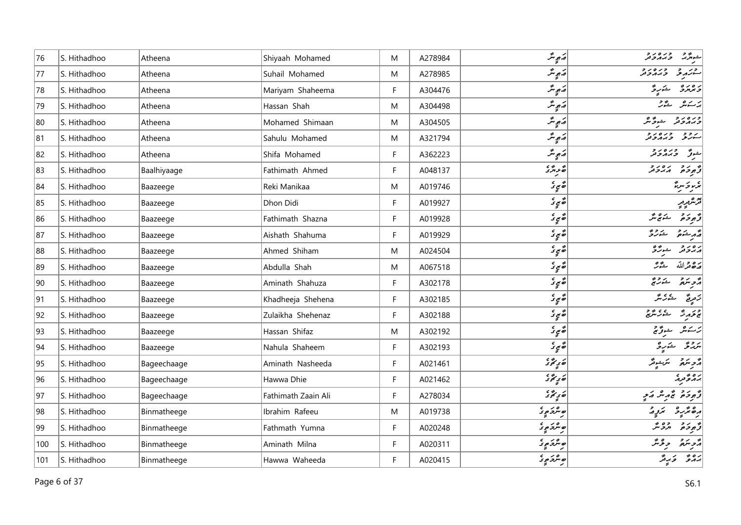| 76  | S. Hithadhoo | Atheena     | Shiyaah Mohamed     | M  | A278984 | لئە چەتتر                        | و رە ر د<br><i>د بە</i> پەر<br>  هودگر جر<br>  __ |
|-----|--------------|-------------|---------------------|----|---------|----------------------------------|---------------------------------------------------|
| 77  | S. Hithadhoo | Atheena     | Suhail Mohamed      | M  | A278985 | لەَ ھِيەتىگە                     | و رە ر د<br><i>د بە</i> پەر<br>سترترقه            |
| 78  | S. Hithadhoo | Atheena     | Mariyam Shaheema    | F. | A304476 | لأجيتنه                          | و ده ده شوردمی                                    |
| 79  | S. Hithadhoo | Atheena     | Hassan Shah         | M  | A304498 | لأجيتنه                          | يركبش كمشرخ                                       |
| 80  | S. Hithadhoo | Atheena     | Mohamed Shimaan     | M  | A304505 | رَ جو مَّر                       | و ره ر د<br><i>و پر د</i> تر<br>شەرگەش            |
| 81  | S. Hithadhoo | Atheena     | Sahulu Mohamed      | M  | A321794 | لئە چە ئىگر                      | سەرو ورەرو                                        |
| 82  | S. Hithadhoo | Atheena     | Shifa Mohamed       | F  | A362223 | پَه چوسگر                        | شوق وزه دو                                        |
| 83  | S. Hithadhoo | Baalhiyaage | Fathimath Ahmed     | F. | A048137 | ړه دي.<br>ځو دري                 | و د د ده د و                                      |
| 84  | S. Hithadhoo | Baazeege    | Reki Manikaa        | M  | A019746 | اھي تر<br>                       | بزرد که مر                                        |
| 85  | S. Hithadhoo | Baazeege    | Dhon Didi           | F. | A019927 | ر په په د                        | بيو چ <sub>رپور</sub><br>ترسرپور                  |
| 86  | S. Hithadhoo | Baazeege    | Fathimath Shazna    | F. | A019928 | ە ئىم ئىمى<br>م                  | و بر در د<br>ے پی س <i>گر</i>                     |
| 87  | S. Hithadhoo | Baazeege    | Aishath Shahuma     | F  | A019929 | ر په په په<br>م                  |                                                   |
| 88  | S. Hithadhoo | Baazeege    | Ahmed Shiham        | M  | A024504 | ائھی تو<br>                      | رەرو خەرجە                                        |
| 89  | S. Hithadhoo | Baazeege    | Abdulla Shah        | M  | A067518 | اھي تر<br>                       | ستذر<br>ەھىراللە                                  |
| 90  | S. Hithadhoo | Baazeege    | Aminath Shahuza     | F  | A302178 | ءِ<br>صحي                        | أأرضتهم المنادقي                                  |
| 91  | S. Hithadhoo | Baazeege    | Khadheeja Shehena   | F. | A302185 | اھي تر<br>                       | تزمريح التشريكر                                   |
| 92  | S. Hithadhoo | Baazeege    | Zulaikha Shehenaz   | F. | A302188 | اھي تر<br>                       | ے ی محرم<br>مشور سرچ<br>  پر خرمر ش               |
| 93  | S. Hithadhoo | Baazeege    | Hassan Shifaz       | M  | A302192 | اھ سمج تر<br>                    | رىسىقى سو <i>ۋى</i> ج                             |
| 94  | S. Hithadhoo | Baazeege    | Nahula Shaheem      | F  | A302193 | په مېچ <sup>چ</sup>              | <i>سرچيخ</i> ڪريزي                                |
| 95  | S. Hithadhoo | Bageechaage | Aminath Nasheeda    | F  | A021461 | ے پر پڑی<br>م                    | سكرشوقكر                                          |
| 96  | S. Hithadhoo | Bageechaage | Hawwa Dhie          | F  | A021462 | ے پر پڑی<br>م                    |                                                   |
| 97  | S. Hithadhoo | Bageechaage | Fathimath Zaain Ali | F  | A278034 | ر<br>صی گوی                      | والمجاورة وأناس وأمي                              |
| 98  | S. Hithadhoo | Binmatheege | Ibrahim Rafeeu      | M  | A019738 | ھ مرد ھ<br>پر                    |                                                   |
| 99  | S. Hithadhoo | Binmatheege | Fathmath Yumna      | F  | A020248 | ه مر <sub>کبر</sub> ي<br>پر مرکب | 707 7793                                          |
| 100 | S. Hithadhoo | Binmatheege | Aminath Milna       | F. | A020311 | <br> حو مر <sub>کبر</sub> ی      | أثر حريثهم<br>حرثخرمتر                            |
| 101 | S. Hithadhoo | Binmatheege | Hawwa Waheeda       | F  | A020415 | ومردوء                           | رەپ كەيد                                          |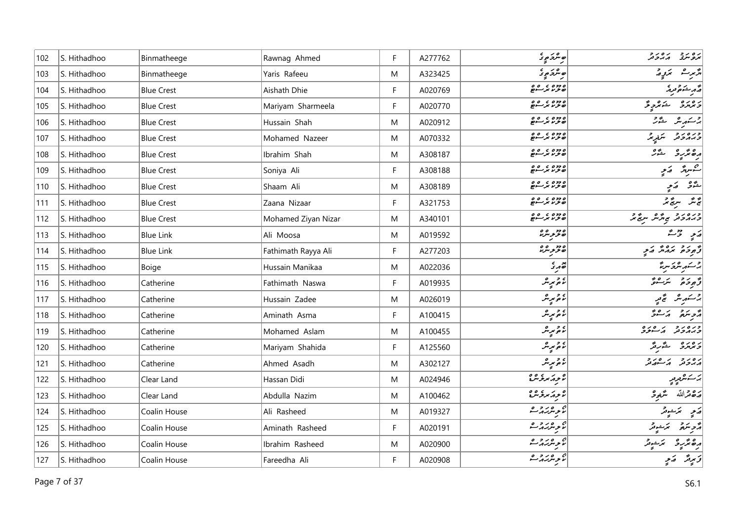| 102 | S. Hithadhoo | Binmatheege       | Rawnag Ahmed        | F           | A277762 | ە ئىرىز مې<br>ئىر               | بر 2 ر ح<br>م <i>ر</i> بر <del>و</del> تر<br>برە يىزچ                                                                                                                                                                               |
|-----|--------------|-------------------|---------------------|-------------|---------|---------------------------------|-------------------------------------------------------------------------------------------------------------------------------------------------------------------------------------------------------------------------------------|
| 103 | S. Hithadhoo | Binmatheege       | Yaris Rafeeu        | M           | A323425 | ه مر <sub>کز موٍی<br/>ر</sub>   | پژىر مە                                                                                                                                                                                                                             |
| 104 | S. Hithadhoo | <b>Blue Crest</b> | Aishath Dhie        | F           | A020769 | ە دە ە » دە<br>ھۆر بىر سوھ      | و مرکز در در در پاید<br>مرکز مرکز مرکز                                                                                                                                                                                              |
| 105 | S. Hithadhoo | <b>Blue Crest</b> | Mariyam Sharmeela   | F           | A020770 | ە دە ە » دە<br>ھۆر بىر سوھ      | رەرە شەردۇ                                                                                                                                                                                                                          |
| 106 | S. Hithadhoo | <b>Blue Crest</b> | Hussain Shah        | M           | A020912 | ە دە ە » دە ە<br>ھەر بىر سىر    | رحم مشر میگر<br>مراجع                                                                                                                                                                                                               |
| 107 | S. Hithadhoo | <b>Blue Crest</b> | Mohamed Nazeer      | M           | A070332 | ه دده ی مره<br><i>ه م</i> رس مر | ورەرو شۆرتە                                                                                                                                                                                                                         |
| 108 | S. Hithadhoo | <b>Blue Crest</b> | Ibrahim Shah        | M           | A308187 | ەددە ، رەھ                      | ەھ <i>ترى</i> ر شىر                                                                                                                                                                                                                 |
| 109 | S. Hithadhoo | <b>Blue Crest</b> | Soniya Ali          | F           | A308188 | ە دە ە دە ە<br>ھىرىر بىر سوھ    | م شهر مدرج مدرج به مدرج به مدرج به مدرج به مدرج استرات المرکز به استرات استرات استرات به مدام برات الله باشد<br>مدرج استرات الله به مدرج استرات استرات استرات استرات استرات استرات استرات استرات استرات استرات استرات استرات ا<br>م |
| 110 | S. Hithadhoo | <b>Blue Crest</b> | Shaam Ali           | M           | A308189 | ە دە ە » دە<br>ھۆر بىر سوھ      | $\frac{1}{2}$ $\frac{1}{2}$                                                                                                                                                                                                         |
| 111 | S. Hithadhoo | <b>Blue Crest</b> | Zaana Nizaar        | F           | A321753 | ە دە ە » دە<br>ھۆر بىر سوھ      | يح مثر سريح مر<br>مح                                                                                                                                                                                                                |
| 112 | S. Hithadhoo | <b>Blue Crest</b> | Mohamed Ziyan Nizar | M           | A340101 | ه دده ی مره<br><i>ه م</i> رس مر | ورورو پرځند سرځند                                                                                                                                                                                                                   |
| 113 | S. Hithadhoo | <b>Blue Link</b>  | Ali Moosa           | M           | A019592 | ە دوپەر ي <sub>ە</sub>          | $23 - 5$                                                                                                                                                                                                                            |
| 114 | S. Hithadhoo | <b>Blue Link</b>  | Fathimath Rayya Ali | $\mathsf F$ | A277203 | ە دو <sub>م</sub> رى <i>رى</i>  | وٌجودَ ۾ ره ۾ کرم                                                                                                                                                                                                                   |
| 115 | S. Hithadhoo | <b>Boige</b>      | Hussain Manikaa     | M           | A022036 | بد<br>ځېږ                       | جە سە <sub>م</sub> رىقە ئىبرىدىكى<br>مەسىر سىرىخىس                                                                                                                                                                                  |
| 116 | S. Hithadhoo | Catherine         | Fathimath Naswa     | F           | A019935 | ، د<br>پده پېرىتر               | توجدة سرعو                                                                                                                                                                                                                          |
| 117 | S. Hithadhoo | Catherine         | Hussain Zadee       | M           | A026019 | پر محر میں<br>  سو محر میں      | بر سکه سگه محمد محمد محمد محمد به کار در کار در حضرت کردند که در کار در حضرت کار در حضرت کردید کردید به این کا                                                                                                                      |
| 118 | S. Hithadhoo | Catherine         | Aminath Asma        | F           | A100415 | ، د پرېګر<br>موموس              | ړې شه ته د شر                                                                                                                                                                                                                       |
| 119 | S. Hithadhoo | Catherine         | Mohamed Aslam       | M           | A100455 | ] ، ه مریشه<br>  ما هم موریشه   | و ر ه ر د<br>تر پر تر تر<br>برشزو                                                                                                                                                                                                   |
| 120 | S. Hithadhoo | Catherine         | Mariyam Shahida     | F           | A125560 | ، د په ه<br>تاموسر ش            | رەرە شەرقە                                                                                                                                                                                                                          |
| 121 | S. Hithadhoo | Catherine         | Ahmed Asadh         | M           | A302127 | ءَ حرمير                        | پر ھير تر<br>بر ه بر د<br>م <i>.بر</i> و تر                                                                                                                                                                                         |
| 122 | S. Hithadhoo | Clear Land        | Hassan Didi         | M           | A024946 | م <i>و<sub>م</sub>ر برؤ</i> مرو | ئەسە ئىگە بەر بىر<br>مەسىر                                                                                                                                                                                                          |
| 123 | S. Hithadhoo | Clear Land        | Abdulla Nazim       | M           | A100462 | الأجربر ببوعية                  | 205 مرالله<br>سَّنْعِهِ رَ                                                                                                                                                                                                          |
| 124 | S. Hithadhoo | Coalin House      | Ali Rasheed         | M           | A019327 | م بە ھەر جە <mark>س</mark> ە    | كالمحي المخرجون                                                                                                                                                                                                                     |
| 125 | S. Hithadhoo | Coalin House      | Aminath Rasheed     | F           | A020191 | <i>م د مرد د</i> ه              | أأولكم أأرجع                                                                                                                                                                                                                        |
| 126 | S. Hithadhoo | Coalin House      | Ibrahim Rasheed     | M           | A020900 | م مر شرح م                      | دەنزېر<br>ىكەپ تەقىر<br>ئە                                                                                                                                                                                                          |
| 127 | S. Hithadhoo | Coalin House      | Fareedha Ali        | F.          | A020908 | <i>شوپېرېز گ</i>                | وَ يَرِمَّزُ - ايَاسٍ                                                                                                                                                                                                               |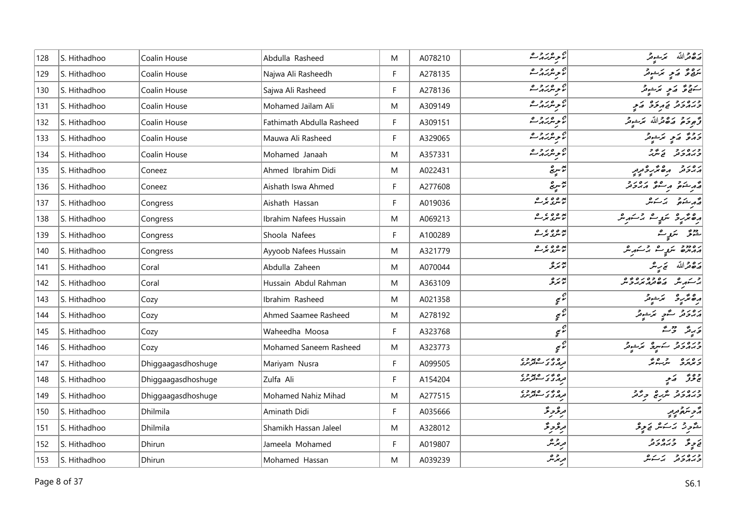| 128 | S. Hithadhoo | Coalin House       | Abdulla Rasheed           | M  | A078210 | ءَ بِه عربه حمد                                       | أصرة فمرالله تمرشونمر                                                                                                                                                                                                                                           |
|-----|--------------|--------------------|---------------------------|----|---------|-------------------------------------------------------|-----------------------------------------------------------------------------------------------------------------------------------------------------------------------------------------------------------------------------------------------------------------|
| 129 | S. Hithadhoo | Coalin House       | Najwa Ali Rasheedh        | F. | A278135 | م به عربه <i>ج</i> ه ه                                | $\begin{array}{cc} \mathcal{L}_{\mathcal{S}} & \mathcal{L}_{\mathcal{S}} \\ \mathcal{L}_{\mathcal{S}} & \mathcal{L}_{\mathcal{S}} & \mathcal{L}_{\mathcal{S}} \\ \mathcal{L}_{\mathcal{S}} & \mathcal{L}_{\mathcal{S}} & \mathcal{L}_{\mathcal{S}} \end{array}$ |
| 130 | S. Hithadhoo | Coalin House       | Sajwa Ali Rasheed         | F. | A278136 | م <sub>ک</sub> ر پر پر پر<br>  ماہ پر پر پر پر        | سكوفة الكامي الكرسوفر                                                                                                                                                                                                                                           |
| 131 | S. Hithadhoo | Coalin House       | Mohamed Jailam Ali        | M  | A309149 | م د عربر د ه<br>ما د مرکز <i>مر</i>                   |                                                                                                                                                                                                                                                                 |
| 132 | S. Hithadhoo | Coalin House       | Fathimath Abdulla Rasheed | F  | A309151 | م په عربر مه م                                        | قَرْجِرْحَمْ مَهْ قَدْاللّهِ مَرْشِوْتَر                                                                                                                                                                                                                        |
| 133 | S. Hithadhoo | Coalin House       | Mauwa Ali Rasheed         | F  | A329065 | <i>ئىجە يەرج م</i>                                    | دَرُةُ   دَمٍ يَرَجُمْ                                                                                                                                                                                                                                          |
| 134 | S. Hithadhoo | Coalin House       | Mohamed Janaah            | M  | A357331 | ن <i>گوینگرد ش</i>                                    | وره دو درود                                                                                                                                                                                                                                                     |
| 135 | S. Hithadhoo | Coneez             | Ahmed Ibrahim Didi        | M  | A022431 | تتمسي                                                 | رەرد رەپزىر قىرىر                                                                                                                                                                                                                                               |
| 136 | S. Hithadhoo | Coneez             | Aishath Iswa Ahmed        | F. | A277608 | تتمييج                                                | وكرمشوه وسوه وودد                                                                                                                                                                                                                                               |
| 137 | S. Hithadhoo | Congress           | Aishath Hassan            | F. | A019036 | بره ه ی ه<br>پرسر <sub>ې</sub> برگ                    | مەر ئىك ئەسكەش                                                                                                                                                                                                                                                  |
| 138 | S. Hithadhoo | Congress           | Ibrahim Nafees Hussain    | M  | A069213 | بره ه ی مه<br>پرسری ترک                               | رەتمرۇ سَرٍ ئەنگەر                                                                                                                                                                                                                                              |
| 139 | S. Hithadhoo | Congress           | Shoola Nafees             | F. | A100289 | برەە ئەھ                                              | شرقته أستريب المستورث                                                                                                                                                                                                                                           |
| 140 | S. Hithadhoo | Congress           | Ayyoob Nafees Hussain     | M  | A321779 | بره ه ی ه                                             | גייתם תוך כי גבותית                                                                                                                                                                                                                                             |
| 141 | S. Hithadhoo | Coral              | Abdulla Zaheen            | M  | A070044 | بر ر ه<br>بر بر ژ                                     | رەقەللە تم-يىر                                                                                                                                                                                                                                                  |
| 142 | S. Hithadhoo | Coral              | Hussain Abdul Rahman      | M  | A363109 | بر ر ہ<br>رائمرنز                                     | و مرد و ده وه د و ده و                                                                                                                                                                                                                                          |
| 143 | S. Hithadhoo | Cozy               | Ibrahim Rasheed           | M  | A021358 | مې<br>مو                                              | رە ئۇرۇ بۇيدۇر                                                                                                                                                                                                                                                  |
| 144 | S. Hithadhoo | Cozy               | Ahmed Saamee Rasheed      | M  | A278192 | احيي                                                  | $\frac{2}{3}$ $\frac{2}{3}$ $\frac{2}{3}$ $\frac{2}{3}$ $\frac{2}{3}$                                                                                                                                                                                           |
| 145 | S. Hithadhoo | Cozy               | Waheedha Moosa            | F  | A323768 | اچمچ                                                  | ەر ئەستىسى ئە                                                                                                                                                                                                                                                   |
| 146 | S. Hithadhoo | Cozy               | Mohamed Saneem Rasheed    | M  | A323773 | $\boxed{\mathbf{S}^2$                                 | ورەرو كەركە كەشوگر                                                                                                                                                                                                                                              |
| 147 | S. Hithadhoo | Dhiggaagasdhoshuge | Mariyam Nusra             | F  | A099505 | ہ بھ بر ہے و د<br>توہری <sub>ک</sub> ے مسوفر <i>س</i> | رەرە دەپ                                                                                                                                                                                                                                                        |
| 148 | S. Hithadhoo | Dhiggaagasdhoshuge | Zulfa Ali                 | F  | A154204 | ه ۶ بر ۲۵ بر ۶<br>تورد د که سوتورو                    | جووژ اړم په                                                                                                                                                                                                                                                     |
| 149 | S. Hithadhoo | Dhiggaagasdhoshuge | Mohamed Nahiz Mihad       | M  | A277515 | ہ پھر رہے و ء<br>توجری کی سسوتو ری                    | ورەرو شریع ورمحم                                                                                                                                                                                                                                                |
| 150 | S. Hithadhoo | Dhilmila           | Aminath Didi              | F. | A035666 | ىر پۇ يە ئە                                           | ړ تر سره مرمر                                                                                                                                                                                                                                                   |
| 151 | S. Hithadhoo | Dhilmila           | Shamikh Hassan Jaleel     | M  | A328012 | ىر پۇرۇ<br>م                                          | هُورُ برسکر فرود                                                                                                                                                                                                                                                |
| 152 | S. Hithadhoo | <b>Dhirun</b>      | Jameela Mohamed           | F  | A019807 | امریزیٹر                                              | ق ورەرو                                                                                                                                                                                                                                                         |
| 153 | S. Hithadhoo | Dhirun             | Mohamed Hassan            | M  | A039239 | امریزیٹر                                              | ورەرو پرىش                                                                                                                                                                                                                                                      |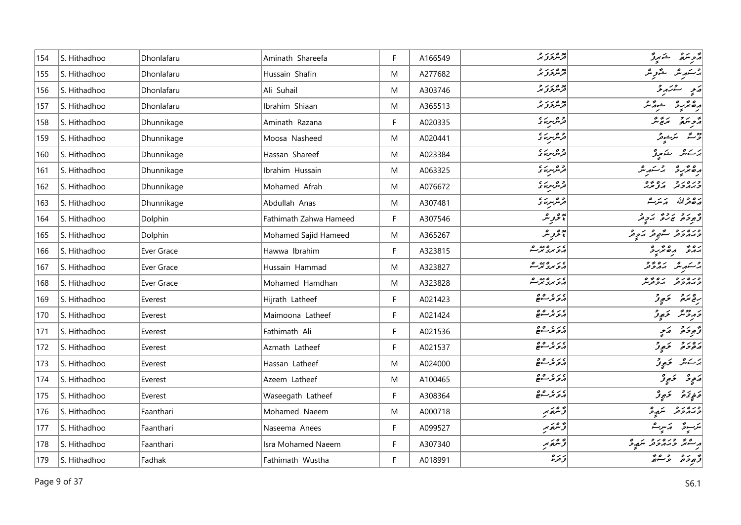| 154 | S. Hithadhoo | Dhonlafaru | Aminath Shareefa       | F           | A166549 | بر ه بر بر د<br>قرمگرفرنمر               | وتحريثهم<br>شەَ مورتَر                               |
|-----|--------------|------------|------------------------|-------------|---------|------------------------------------------|------------------------------------------------------|
| 155 | S. Hithadhoo | Dhonlafaru | Hussain Shafin         | M           | A277682 | بر ه بر بر د<br>تر مربو تر بر            | ے <i>گو</i> س<br>ج <sub>ە</sub> سىئەر بىر            |
| 156 | S. Hithadhoo | Dhonlafaru | Ali Suhail             | M           | A303746 | بر ه بر بر حر<br>قر سر <del>بر</del> بر  | أوسمج ستندر                                          |
| 157 | S. Hithadhoo | Dhonlafaru | Ibrahim Shiaan         | M           | A365513 | بر <i>ه د د ب</i> ر د                    | ەرھەترىر <sup>ى</sup><br>$\frac{27}{2}$              |
| 158 | S. Hithadhoo | Dhunnikage | Aminath Razana         | F           | A020335 | قریرسریز کی                              |                                                      |
| 159 | S. Hithadhoo | Dhunnikage | Moosa Nasheed          | M           | A020441 | قری <i>گریندی</i><br>  قری <i>گریندی</i> | وو محمد سمر شوند.<br>حراسته                          |
| 160 | S. Hithadhoo | Dhunnikage | Hassan Shareef         | M           | A023384 | قرىگرىنىرىدى<br>م                        | بركسكر الحكمرو                                       |
| 161 | S. Hithadhoo | Dhunnikage | Ibrahim Hussain        | M           | A063325 | قرىگرىنزىكى                              | رەپرىر بر ئىر                                        |
| 162 | S. Hithadhoo | Dhunnikage | Mohamed Afrah          | M           | A076672 | قریرسریز کی                              | وره رو ده ده<br><i>د ب</i> رونر <mark>د</mark> زندبر |
| 163 | S. Hithadhoo | Dhunnikage | Abdullah Anas          | M           | A307481 | و مرسر بر <sup>ج</sup>                   | مَصْعَرَاللّهِ مَرْسَرْتْ                            |
| 164 | S. Hithadhoo | Dolphin    | Fathimath Zahwa Hameed | F           | A307546 | پوو پر                                   | و دو بروه بروته                                      |
| 165 | S. Hithadhoo | Dolphin    | Mohamed Sajid Hameed   | M           | A365267 | * د و بر                                 | כל סוכר הובית הבית                                   |
| 166 | S. Hithadhoo | Ever Grace | Hawwa Ibrahim          | $\mathsf F$ | A323815 | ، رچە دە يەر ھ                           |                                                      |
| 167 | S. Hithadhoo | Ever Grace | Hussain Hammad         | M           | A323827 | ی رے دی ے<br>مری پر مرک                  | י הודי החבב                                          |
| 168 | S. Hithadhoo | Ever Grace | Mohamed Hamdhan        | M           | A323828 | ، رچە دە يەر ھ                           | ورەرو رەپەە<br><i>جەم</i> ەدىر <mark>ب</mark> ەدىرىر |
| 169 | S. Hithadhoo | Everest    | Hijrath Latheef        | $\mathsf F$ | A021423 | ې په په ده ه<br>مرغ مرسو                 | رقى ئىرقە كىمبوتى                                    |
| 170 | S. Hithadhoo | Everest    | Maimoona Latheef       | F           | A021424 | ې په په ده ه<br>مرکز سرچ                 | د دو پژ<br>ځ چو تر                                   |
| 171 | S. Hithadhoo | Everest    | Fathimath Ali          | F           | A021536 | ء پر ۽ ره ۾<br> پريو ترسسو               | ۇ بوزىر<br>رځ په                                     |
| 172 | S. Hithadhoo | Everest    | Azmath Latheef         | F           | A021537 | ء پر ۽ <u>م</u> وھ                       | ر ه ر د<br>ه نو تر بو<br>تزېږ تر                     |
| 173 | S. Hithadhoo | Everest    | Hassan Latheef         | M           | A024000 | ې په په ده ه<br>مرغ مرسو                 | يرسكس كريموتر                                        |
| 174 | S. Hithadhoo | Everest    | Azeem Latheef          | M           | A100465 | پر پر موم                                | أركمني والمحجوز                                      |
| 175 | S. Hithadhoo | Everest    | Waseegath Latheef      | F           | A308364 | ې په په ده ه<br>مرکز سرچ                 | عَ فَإِنَّمَ وَجِرِوْ                                |
| 176 | S. Hithadhoo | Faanthari  | Mohamed Naeem          | M           | A000718 | اؤمثعوبر                                 | و ر ه ر د<br>تر بر بر تر<br>سمدقر                    |
| 177 | S. Hithadhoo | Faanthari  | Naseema Anees          | F           | A099527 | و ه.<br>اگر مترجو س                      | لترجيح أكالبرب                                       |
| 178 | S. Hithadhoo | Faanthari  | Isra Mohamed Naeem     | F           | A307340 | اقرمعوسر                                 | and cross in                                         |
| 179 | S. Hithadhoo | Fadhak     | Fathimath Wustha       | F           | A018991 | تزتزره                                   | أوجوحه وصبح                                          |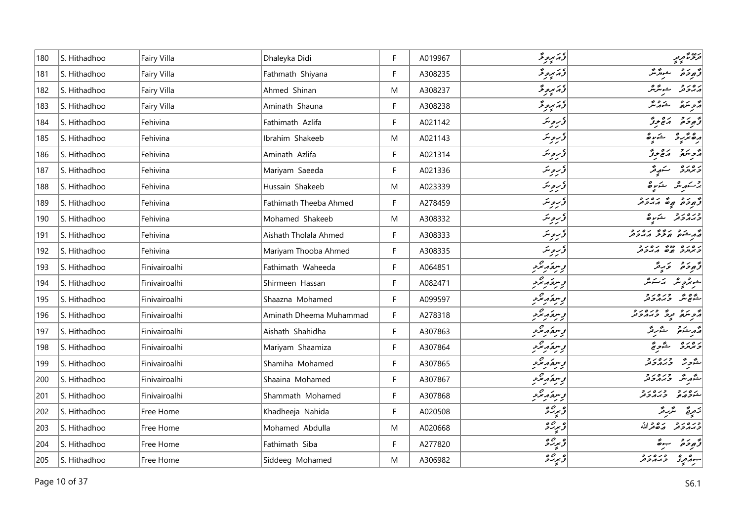| 180 | S. Hithadhoo | <b>Fairy Villa</b> | Dhaleyka Didi           | F           | A019967 | ۇرىمبرە ق                           | دره کا تولو<br>  تونو کا تولو                                               |
|-----|--------------|--------------------|-------------------------|-------------|---------|-------------------------------------|-----------------------------------------------------------------------------|
| 181 | S. Hithadhoo | Fairy Villa        | Fathmath Shiyana        | F           | A308235 | ۇرىمبرە بۇ                          | و ده شوره گ                                                                 |
| 182 | S. Hithadhoo | <b>Fairy Villa</b> | Ahmed Shinan            | M           | A308237 | ۇ ئەمبرە ب <sup>ى</sup> ر           | پروژبر<br>ىشەمگرىگر                                                         |
| 183 | S. Hithadhoo | Fairy Villa        | Aminath Shauna          | F           | A308238 | ۇ ئەسمەھ <del>ئ</del> ە             | ىنە تەرىگە<br>أأروسكو                                                       |
| 184 | S. Hithadhoo | Fehivina           | Fathimath Azlifa        | F           | A021142 | ۇر <sub>ە</sub> بىر                 | برءحو<br>وٌجو پر و                                                          |
| 185 | S. Hithadhoo | Fehivina           | Ibrahim Shakeeb         | M           | A021143 | ۇر <sub>جو</sub> ىتر                | ە ھەترىرى<br>برھەترىرى<br>$0.4 - 0.00$                                      |
| 186 | S. Hithadhoo | Fehivina           | Aminath Azlifa          | F           | A021314 | ء<br>فرسر عبر                       | أرمز تره<br>رە ج                                                            |
| 187 | S. Hithadhoo | Fehivina           | Mariyam Saeeda          | F.          | A021336 | ء<br>فرسر عبر                       | ر ه بره<br>5 بربرگ<br>سەمەقر                                                |
| 188 | S. Hithadhoo | Fehivina           | Hussain Shakeeb         | M           | A023339 | ۇروپر<br><u>سىر</u>                 | $\stackrel{o}{\sim}$ $\sim$ $\stackrel{o}{\sim}$<br>جر <u>س</u> کر میں<br>م |
| 189 | S. Hithadhoo | Fehivina           | Fathimath Theeba Ahmed  | F.          | A278459 | ء<br>فرسر عبر                       | توجدة بيءُ مددور                                                            |
| 190 | S. Hithadhoo | Fehivina           | Mohamed Shakeeb         | M           | A308332 | ۇروپىر<br><u>سىر</u>                | وره دو شکړه                                                                 |
| 191 | S. Hithadhoo | Fehivina           | Aishath Tholala Ahmed   | $\mathsf F$ | A308333 | ۇروپر<br><u>سىر</u>                 | و ديدو روو ره دورو<br>وگه شوي و څرگ مربرونر                                 |
| 192 | S. Hithadhoo | Fehivina           | Mariyam Thooba Ahmed    | F           | A308335 | ۇروپر                               | נ סנס חדש נסנד.<br>בינו <i>נד</i> הם גיבת                                   |
| 193 | S. Hithadhoo | Finivairoalhi      | Fathimath Waheeda       | F.          | A064851 | د سرهٔ د بر <sup>د</sup>            | وٌجوحَمٌ وَرِيْدٌ                                                           |
| 194 | S. Hithadhoo | Finivairoalhi      | Shirmeen Hassan         | F           | A082471 | وسۇرىژىر                            | جريريش الإسكان                                                              |
| 195 | S. Hithadhoo | Finivairoalhi      | Shaazna Mohamed         | F           | A099597 | وسفه برګو                           | روه وره رو<br>شویم شرح برابرد تر                                            |
| 196 | S. Hithadhoo | Finivairoalhi      | Aminath Dheema Muhammad | F           | A278318 | و سرع <sup>د</sup> مر<br>بر سرعر مر | הכית נכ"כ בהרכת                                                             |
| 197 | S. Hithadhoo | Finivairoalhi      | Aishath Shahidha        | F           | A307863 | و سره د برګو<br><u>مرسمتر م</u> ر   | و مر شو د<br>مرم شو ه                                                       |
| 198 | S. Hithadhoo | Finivairoalhi      | Mariyam Shaamiza        | F.          | A307864 | وسۇرىڭر                             | ر ه ر ه<br><del>و</del> بوبرو<br>ستگريج                                     |
| 199 | S. Hithadhoo | Finivairoalhi      | Shamiha Mohamed         | F           | A307865 | وسۇرىڭز                             | و ر ه ر و<br><i>و پر</i> پر تر<br>ڪورڙ                                      |
| 200 | S. Hithadhoo | Finivairoalhi      | Shaaina Mohamed         | F.          | A307867 | وسفەرىگىز                           | و ره ر و<br><i>د بر</i> د تر<br>ىشەر بىر<br>م                               |
| 201 | S. Hithadhoo | Finivairoalhi      | Shammath Mohamed        | F           | A307868 | وبىرە ئەبر                          | شەھ بەر<br>و ره ر و<br><i>د ب</i> رگرفر                                     |
| 202 | S. Hithadhoo | Free Home          | Khadheeja Nahida        | F.          | A020508 | ە بېرىرى<br>ئۇ بېرىرى               | تزمرچَّ<br>سٌررتٌر                                                          |
| 203 | S. Hithadhoo | Free Home          | Mohamed Abdulla         | M           | A020668 | وبررو                               | و ر ه ر د<br><i>و بر</i> پر تر<br>برەقراللە                                 |
| 204 | S. Hithadhoo | Free Home          | Fathimath Siba          | F.          | A277820 | ە بېرىدى<br>ئۇ بېرىدى               | بدة<br>و څې پر د                                                            |
| 205 | S. Hithadhoo | Free Home          | Siddeeg Mohamed         | M           | A306982 | و بررو<br>نو                        | و ره ر و<br><i>و پر</i> و تر<br>سوړ تور تو<br>سره تور تو                    |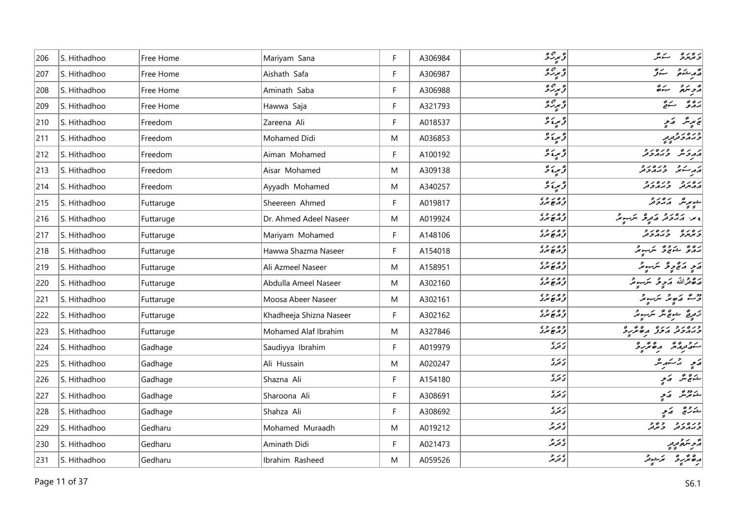| 206 | S. Hithadhoo | Free Home | Mariyam Sana            | $\mathsf F$ | A306984 | وبردو                              | سەتىر<br>ر ه بر ه<br>تر <del>ب</del> ر بر       |
|-----|--------------|-----------|-------------------------|-------------|---------|------------------------------------|-------------------------------------------------|
| 207 | S. Hithadhoo | Free Home | Aishath Safa            | $\mathsf F$ | A306987 | وىردو                              | لتجمر يشوخو<br>ىبە ئە                           |
| 208 | S. Hithadhoo | Free Home | Aminath Saba            | F           | A306988 | وبرجو                              | أتمر يتمد<br>بەئچ                               |
| 209 | S. Hithadhoo | Free Home | Hawwa Saja              | F           | A321793 | وبررو                              | برەپچ<br>ستوقع                                  |
| 210 | S. Hithadhoo | Freedom   | Zareena Ali             | F           | A018537 | ە<br>زىر ، ئ                       | ئىم پەش كەيپ                                    |
| 211 | S. Hithadhoo | Freedom   | Mohamed Didi            | M           | A036853 | ە پرە<br>ئۇس <sub>ۇ</sub>          |                                                 |
| 212 | S. Hithadhoo | Freedom   | Aiman Mohamed           | F           | A100192 | ه مړيو<br>تر په د                  | 77073 2777                                      |
| 213 | S. Hithadhoo | Freedom   | Aisar Mohamed           | M           | A309138 | ە<br>زىر ، ئ                       | بەر ئەرەرد                                      |
| 214 | S. Hithadhoo | Freedom   | Ayyadh Mohamed          | M           | A340257 | ه مړۍ د<br>تر مړنۍ څ               | גם גב בגם גב<br>גבתב בגבבת                      |
| 215 | S. Hithadhoo | Futtaruge | Sheereen Ahmed          | F           | A019817 | 5, 202                             | أحومرش كمصرور                                   |
| 216 | S. Hithadhoo | Futtaruge | Dr. Ahmed Adeel Naseer  | M           | A019924 | و ه ر و پر<br>تر در ه مرد          | ء پر ایرونز ایربو ایران                         |
| 217 | S. Hithadhoo | Futtaruge | Mariyam Mohamed         | F           | A148106 | و ه د بر د پر<br><b>ز</b> هر هو بر | נסנס כנסנכ<br>כ <i>אתכ כג</i> וכנ               |
| 218 | S. Hithadhoo | Futtaruge | Hawwa Shazma Naseer     | F           | A154018 | و ه ر و و<br><b>ز</b> د ه مرد      | رەپ دەپ ئورى                                    |
| 219 | S. Hithadhoo | Futtaruge | Ali Azmeel Naseer       | M           | A158951 | و ه د ر و و<br><b>ز</b> در ه مرد   | أرو أرجو و الكرسور                              |
| 220 | S. Hithadhoo | Futtaruge | Abdulla Ameel Naseer    | M           | A302160 | و ه ر و پر<br>تر در ه مرد          | أرَدْ قَدْاللَّهُ أَرَدِّ قَرْسِيْرَ مَرْسِيْرَ |
| 221 | S. Hithadhoo | Futtaruge | Moosa Abeer Naseer      | M           | A302161 | و ه د ر و و<br><b>ز</b> در ه مرد   | $\frac{2}{3}$                                   |
| 222 | S. Hithadhoo | Futtaruge | Khadheeja Shizna Naseer | F           | A302162 | و ه د بر د پر<br><b>ز</b> هر هو بر | زَمِرِجٌ ۖ حَدِيجٌ مَّرَ مَرَسِدٍ مِّرَ         |
| 223 | S. Hithadhoo | Futtaruge | Mohamed Alaf Ibrahim    | M           | A327846 | وه د د د و<br><b>ز</b> د هغ مرد    | כנסגב גגם הסיקיה<br>כמהכת הכצ הסיקיה            |
| 224 | S. Hithadhoo | Gadhage   | Saudiyya Ibrahim        | F           | A019979 | ر ر ،<br>ک ترک                     | הנקריק הסתיק                                    |
| 225 | S. Hithadhoo | Gadhage   | Ali Hussain             | M           | A020247 | ر ر م<br>ک تعرک                    | ەس ئەسىر                                        |
| 226 | S. Hithadhoo | Gadhage   | Shazna Ali              | $\mathsf F$ | A154180 | ر ر ،<br>تر تر ژ                   | شۇچىگە كەبچ                                     |
| 227 | S. Hithadhoo | Gadhage   | Sharoona Ali            | $\mathsf F$ | A308691 | ر ر پ<br>ک تعرک                    | أينته ترامي                                     |
| 228 | S. Hithadhoo | Gadhage   | Shahza Ali              | F           | A308692 | ر<br>کاتری                         | ينذرج أربح                                      |
| 229 | S. Hithadhoo | Gedharu   | Mohamed Muraadh         | M           | A019212 | <sup>ی</sup> تر جر<br>می تعریمی    | وره رو و و و<br>وبرمرونر و برنر                 |
| 230 | S. Hithadhoo | Gedharu   | Aminath Didi            | F           | A021473 | ە بەر<br>ئەتىرىمە                  | ر<br>د څخه سره ورمړ                             |
| 231 | S. Hithadhoo | Gedharu   | Ibrahim Rasheed         | M           | A059526 | <sup>ی</sup> مرح<br>کا مرس         | ە ئەتەرە كەن بۇ                                 |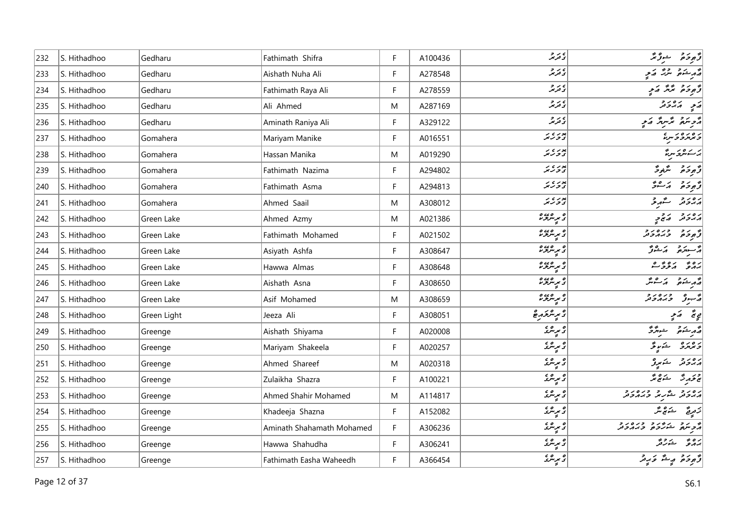| 232 | S. Hithadhoo | Gedharu     | Fathimath Shifra          | F  | A100436 | ے ر ح<br>کی تعریمر              | $\begin{array}{cc} 0 & 0 & 0 \\ 0 & 0 & 0 \\ 0 & 0 & 0 \\ 0 & 0 & 0 \\ 0 & 0 & 0 \\ 0 & 0 & 0 \\ 0 & 0 & 0 \\ 0 & 0 & 0 \\ 0 & 0 & 0 \\ 0 & 0 & 0 \\ 0 & 0 & 0 \\ 0 & 0 & 0 \\ 0 & 0 & 0 \\ 0 & 0 & 0 & 0 \\ 0 & 0 & 0 & 0 \\ 0 & 0 & 0 & 0 \\ 0 & 0 & 0 & 0 \\ 0 & 0 & 0 & 0 & 0 \\ 0 & 0 & 0 & 0 & 0 \\ 0 & 0 & 0 & 0 & 0 \\ 0 &$ |
|-----|--------------|-------------|---------------------------|----|---------|---------------------------------|-------------------------------------------------------------------------------------------------------------------------------------------------------------------------------------------------------------------------------------------------------------------------------------------------------------------------------------|
| 233 | S. Hithadhoo | Gedharu     | Aishath Nuha Ali          | F. | A278548 | ے ر ح<br>کی تعریمر              |                                                                                                                                                                                                                                                                                                                                     |
| 234 | S. Hithadhoo | Gedharu     | Fathimath Raya Ali        | F. | A278559 | پ ر ح<br>  پی تعریجر            | و دو وو د                                                                                                                                                                                                                                                                                                                           |
| 235 | S. Hithadhoo | Gedharu     | Ali Ahmed                 | M  | A287169 | ے ر ح<br>کی تعریمہ              | $\frac{1}{2}$                                                                                                                                                                                                                                                                                                                       |
| 236 | S. Hithadhoo | Gedharu     | Aminath Raniya Ali        | F  | A329122 | ے ر ح<br>کی تعریمر              | أأديني للمبلغ أبو                                                                                                                                                                                                                                                                                                                   |
| 237 | S. Hithadhoo | Gomahera    | Mariyam Manike            | F  | A016551 | برر ر بر<br>کار کريمر           | ر ەرەر پ                                                                                                                                                                                                                                                                                                                            |
| 238 | S. Hithadhoo | Gomahera    | Hassan Manika             | M  | A019290 | پر رے پر<br>ئ <b>ی</b> خرمگر    | ىر سەھ <sub>ە</sub> ر ئەسرىئ <sup>ە</sup>                                                                                                                                                                                                                                                                                           |
| 239 | S. Hithadhoo | Gomahera    | Fathimath Nazima          | F  | A294802 | برر ر بر<br>تر <del>تر</del> بر | توجوخو ستبوح                                                                                                                                                                                                                                                                                                                        |
| 240 | S. Hithadhoo | Gomahera    | Fathimath Asma            | F  | A294813 | برر ر ر<br>ر <del>گر</del> گر   | $5 - 7 - 5 - 5$                                                                                                                                                                                                                                                                                                                     |
| 241 | S. Hithadhoo | Gomahera    | Ahmed Saail               | M  | A308012 | برر ر بر<br>تر <del>تر</del> بر | رەرو شەر                                                                                                                                                                                                                                                                                                                            |
| 242 | S. Hithadhoo | Green Lake  | Ahmed Azmy                | M  | A021386 | ه پر پرویړه<br>د پر پروژن       |                                                                                                                                                                                                                                                                                                                                     |
| 243 | S. Hithadhoo | Green Lake  | Fathimath Mohamed         | F  | A021502 | ه په ده ده ه<br>د کار په مرکز ر | أو د دره د                                                                                                                                                                                                                                                                                                                          |
| 244 | S. Hithadhoo | Green Lake  | Asiyath Ashfa             | F  | A308647 | ه په دوره<br>د په پېژونړ        | أراستهر أركامي                                                                                                                                                                                                                                                                                                                      |
| 245 | S. Hithadhoo | Green Lake  | Hawwa Almas               | F  | A308648 | ه په ده ده ه<br> د په پنربور    | پروی پروی ک                                                                                                                                                                                                                                                                                                                         |
| 246 | S. Hithadhoo | Green Lake  | Aishath Asna              | F  | A308650 | ه په ده ده ه<br>د مړسربور       | مەر ئىشمۇ بەكسىگ                                                                                                                                                                                                                                                                                                                    |
| 247 | S. Hithadhoo | Green Lake  | Asif Mohamed              | M  | A308659 | ه<br>د مړسربور                  | و رە ر د<br>تر پر تر تر<br>ە ئەسىرى<br>م                                                                                                                                                                                                                                                                                            |
| 248 | S. Hithadhoo | Green Light | Jeeza Ali                 | F  | A308051 | د سر عر <i>خر</i> م هخ          |                                                                                                                                                                                                                                                                                                                                     |
| 249 | S. Hithadhoo | Greenge     | Aishath Shiyama           | F. | A020008 | د بر مر د ،<br>  د بر مر د      |                                                                                                                                                                                                                                                                                                                                     |
| 250 | S. Hithadhoo | Greenge     | Mariyam Shakeela          | F  | A020257 | ە بېرىدى<br>ئ <sup>ى</sup> ر    | ر ه بر ه<br>د بربرگ<br>ے کمبر محر<br>ح                                                                                                                                                                                                                                                                                              |
| 251 | S. Hithadhoo | Greenge     | Ahmed Shareef             | M  | A020318 | ه موشر و ،<br>  د سپرسر د       | ړه رو ځمړو                                                                                                                                                                                                                                                                                                                          |
| 252 | S. Hithadhoo | Greenge     | Zulaikha Shazra           | F  | A100221 | ە بەيدىگە<br> -                 | ج تحمد <sup>ش</sup> شەھ تىر                                                                                                                                                                                                                                                                                                         |
| 253 | S. Hithadhoo | Greenge     | Ahmed Shahir Mohamed      | M  | A114817 | ء بر مر ۽<br> د پر مر           | גם גב ביניה בגבבת<br>גבבת בינית בגבבת                                                                                                                                                                                                                                                                                               |
| 254 | S. Hithadhoo | Greenge     | Khadeeja Shazna           | F  | A152082 | دىمەمدى<br>  دىمەمدى            | ر<br>مرسم مسلم مسلم محمد محمد محمد السلم                                                                                                                                                                                                                                                                                            |
| 255 | S. Hithadhoo | Greenge     | Aminath Shahamath Mohamed | F  | A306236 | ء سرچري<br> د سپېتىرى           | و دو شرور وره دو                                                                                                                                                                                                                                                                                                                    |
| 256 | S. Hithadhoo | Greenge     | Hawwa Shahudha            | F  | A306241 | ه موشر و ،<br>  د سپرسر د       | رەپ <sub>ە ش</sub> ەرىپە                                                                                                                                                                                                                                                                                                            |
| 257 | S. Hithadhoo | Greenge     | Fathimath Easha Waheedh   | F  | A366454 | ه مړينو <sup>ه</sup>            | أَدْجِرْهُمْ - مِيسْتُمْ - مَرِيْدِ                                                                                                                                                                                                                                                                                                 |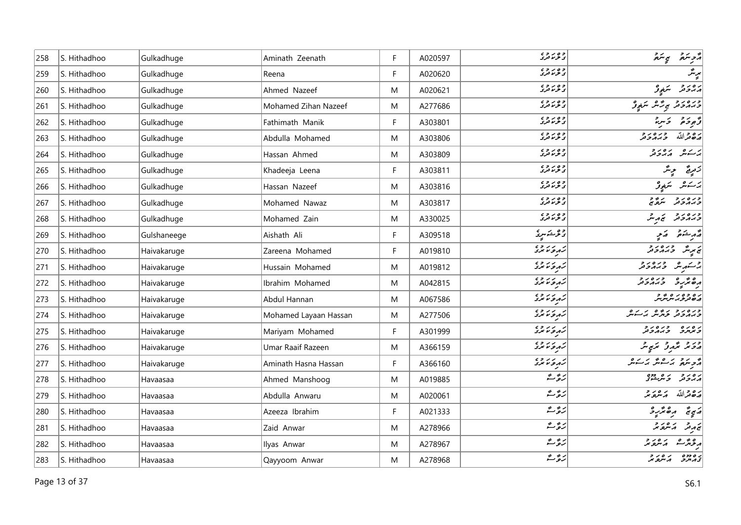| 258 | S. Hithadhoo | Gulkadhuge  | Aminath Zeenath       | F. | A020597 | و ه ر و ،<br>د نوم تور           | سم منز پر<br>سم                                       |
|-----|--------------|-------------|-----------------------|----|---------|----------------------------------|-------------------------------------------------------|
| 259 | S. Hithadhoo | Gulkadhuge  | Reena                 | F  | A020620 | و ه ر و ،<br><b>ی نوم تر</b> ی   | $\frac{27}{30}$<br>$\frac{27}{30}$<br>$\frac{27}{30}$ |
| 260 | S. Hithadhoo | Gulkadhuge  | Ahmed Nazeef          | M  | A020621 | و ه ر و ء<br>  د نو د ترد        | سرَخٍوڤر                                              |
| 261 | S. Hithadhoo | Gulkadhuge  | Mohamed Zihan Nazeef  | M  | A277686 | و ه ر و ،<br>د نوم تو د          | ورەرو پرتىر سەر                                       |
| 262 | S. Hithadhoo | Gulkadhuge  | Fathimath Manik       | F  | A303801 | و ه ر و ،<br>  د نوما تور        | توجوخهم الخامرة                                       |
| 263 | S. Hithadhoo | Gulkadhuge  | Abdulla Mohamed       | M  | A303806 | و ه ر و ،<br><b>ی نو</b> م توی   | رە داللە دىرەرد                                       |
| 264 | S. Hithadhoo | Gulkadhuge  | Hassan Ahmed          | M  | A303809 | و ه ر و ،<br>د نوم تور           | يزكتش المرورو                                         |
| 265 | S. Hithadhoo | Gulkadhuge  | Khadeeja Leena        | F  | A303811 | و ه ر و ،<br>د نوم تور           | زَمِرةً مِسَّر                                        |
| 266 | S. Hithadhoo | Gulkadhuge  | Hassan Nazeef         | M  | A303816 | و ه ر و ،<br>د نوم تور           | يَا سَنْدُ مِنْ مَنْ يَوْرُ                           |
| 267 | S. Hithadhoo | Gulkadhuge  | Mohamed Nawaz         | M  | A303817 | و ه ر و ،<br>ر نوم ترر           | כנסנכ נביב<br>כגובבת יינפיב                           |
| 268 | S. Hithadhoo | Gulkadhuge  | Mohamed Zain          | M  | A330025 | و ه ر و ،<br>د نوم تو د          | ورەرو پەر                                             |
| 269 | S. Hithadhoo | Gulshaneege | Aishath Ali           | F  | A309518 | د ژخه سر د                       | و د شوځ وکړ                                           |
| 270 | S. Hithadhoo | Haivakaruge | Zareena Mohamed       | F  | A019810 | ر بر ځه تدې<br>سره تم تیرې       | ىم ئىر ئەر ئەر ئە                                     |
| 271 | S. Hithadhoo | Haivakaruge | Hussain Mohamed       | M  | A019812 | ئەرىرىدى<br>سىرە ئىسىمى          | جر شهر شده در در د                                    |
| 272 | S. Hithadhoo | Haivakaruge | Ibrahim Mohamed       | M  | A042815 | ر بر بر د ،<br>سره ما برد        |                                                       |
| 273 | S. Hithadhoo | Haivakaruge | Abdul Hannan          | M  | A067586 | ر پر د د د<br>رکه و ما موی       | رە دەر ھېرىر<br>مەھىرىرىرىرىرىر                       |
| 274 | S. Hithadhoo | Haivakaruge | Mohamed Layaan Hassan | M  | A277506 | ر بر بر د ،<br>رَدِ وَ مَا مَرَى | ورەر د روم رىر                                        |
| 275 | S. Hithadhoo | Haivakaruge | Mariyam Mohamed       | F  | A301999 | ا ئەرىرىدىنى<br>سىرە ئىسىرى      | נסנס כנסנב<br><i>כאתב ב</i> גמכ <mark>נ</mark> נ      |
| 276 | S. Hithadhoo | Haivakaruge | Umar Raaif Razeen     | M  | A366159 | ئەر ئەر دې<br>س                  | ەدىر ئەرز ئىي ئ                                       |
| 277 | S. Hithadhoo | Haivakaruge | Aminath Hasna Hassan  | F  | A366160 | <br> - مرغ موجودي<br> -          | مەمەم ئەس ئەسكىر                                      |
| 278 | S. Hithadhoo | Havaasaa    | Ahmed Manshoog        | M  | A019885 | ر پۇشە                           | رەرە رەپەدە<br>مەرەبىر كەش-دە                         |
| 279 | S. Hithadhoo | Havaasaa    | Abdulla Anwaru        | M  | A020061 | ر پۇسىگە                         | ەر دەر د<br>ەھىراللە                                  |
| 280 | S. Hithadhoo | Havaasaa    | Azeeza Ibrahim        | F  | A021333 | ر پۇشە                           | ە ھەترىرى<br>رَسِي                                    |
| 281 | S. Hithadhoo | Havaasaa    | Zaid Anwar            | M  | A278966 | ر پۇشە                           | ەرەر د<br>پر ہر<br>پی مرمگر                           |
| 282 | S. Hithadhoo | Havaasaa    | Ilyas Anwar           | M  | A278967 | رۇشە                             | ورثوشه<br>بر 2 بر 1<br>مرسرچ مر                       |
| 283 | S. Hithadhoo | Havaasaa    | Qayyoom Anwar         | M  | A278968 | ئەڭرىشە                          | גם מם גם גב<br>צגתב ג'יינפיג                          |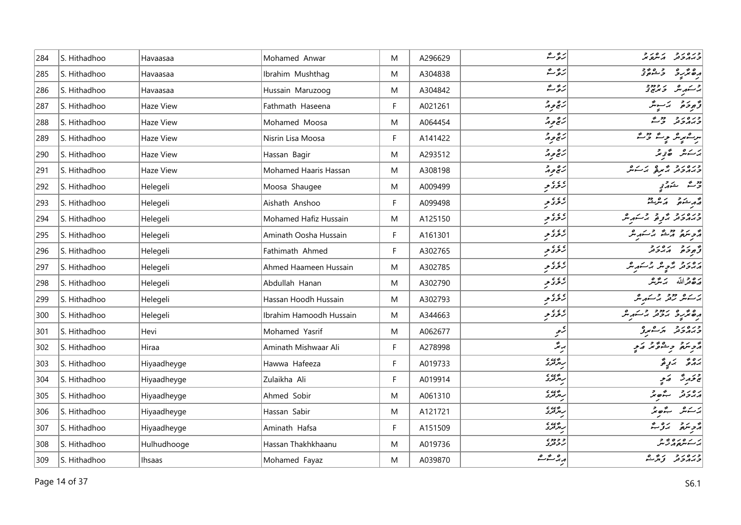| 284 | S. Hithadhoo | Havaasaa         | Mohamed Anwar           | M  | A296629 | ر پۇشە                          | כנסנכ גםנכ<br>כגובת גיעבת              |
|-----|--------------|------------------|-------------------------|----|---------|---------------------------------|----------------------------------------|
| 285 | S. Hithadhoo | Havaasaa         | Ibrahim Mushthag        | M  | A304838 | ر پۇشە                          | دەندىرو وشوۋ                           |
| 286 | S. Hithadhoo | Havaasaa         | Hussain Maruzoog        | M  | A304842 | ر پۇشە                          | و کورند که دود و<br>پر کورند که مربع و |
| 287 | S. Hithadhoo | <b>Haze View</b> | Fathmath Haseena        | F  | A021261 | ر ج عبر                         | أرموخي بمسوشر                          |
| 288 | S. Hithadhoo | <b>Haze View</b> | Mohamed Moosa           | M  | A064454 | ر چ عبر                         | ورەر دورم                              |
| 289 | S. Hithadhoo | <b>Haze View</b> | Nisrin Lisa Moosa       | F  | A141422 | ترج حرقر                        | لرڪي شريڪ وقت                          |
| 290 | S. Hithadhoo | <b>Haze View</b> | Hassan Bagir            | M  | A293512 | رء و ژ                          | برُسكو ھُوَبِرُ                        |
| 291 | S. Hithadhoo | <b>Haze View</b> | Mohamed Haaris Hassan   | M  | A308198 | رء و ژ                          | ورەرو ممرة برخش                        |
| 292 | S. Hithadhoo | Helegeli         | Moosa Shaugee           | M  | A009499 | <sup>ى ي ي</sup> م              |                                        |
| 293 | S. Hithadhoo | Helegeli         | Aishath Anshoo          | F  | A099498 | <sup>ى ي</sup> يى م             |                                        |
| 294 | S. Hithadhoo | Helegeli         | Mohamed Hafiz Hussain   | M  | A125150 | ژوئ مو                          | ورەرو پروتۇ برگىرىگ                    |
| 295 | S. Hithadhoo | Helegeli         | Aminath Oosha Hussain   | F. | A161301 | إتبتونامو                       | أو رو دو دي د کر                       |
| 296 | S. Hithadhoo | Helegeli         | Fathimath Ahmed         | F  | A302765 | إتجء و                          | كو برو بروبرد                          |
| 297 | S. Hithadhoo | Helegeli         | Ahmed Haameen Hussain   | M  | A302785 | ژوئ مو                          | رەر ئەچ ئەر باسەر ئىر                  |
| 298 | S. Hithadhoo | Helegeli         | Abdullah Hanan          | M  | A302790 | ي ي ۽                           | مَەھْرَاللَّهُ بَرْمَّرْمَرْ           |
| 299 | S. Hithadhoo | Helegeli         | Hassan Hoodh Hussain    | M  | A302793 | إرتورمو                         | ير ساها روم المرسكة بالكراهر           |
| 300 | S. Hithadhoo | Helegeli         | Ibrahim Hamoodh Hussain | M  | A344663 | ی ی ی<br>رنوبی م <sub>ر</sub>   | رەپرىدە بردو دېھرىش                    |
| 301 | S. Hithadhoo | Hevi             | Mohamed Yasrif          | M  | A062677 | ء<br>رحم                        | כנסגב גם בי                            |
| 302 | S. Hithadhoo | Hiraa            | Aminath Mishwaar Ali    | F  | A278998 | ریڑ                             | أدويتم وعفوهم أو                       |
| 303 | S. Hithadhoo | Hiyaadheyge      | Hawwa Hafeeza           | F  | A019733 | ر پیمه ›<br>ر پرترو             | رەق بەرق                               |
| 304 | S. Hithadhoo | Hiyaadheyge      | Zulaikha Ali            | F  | A019914 | ر پیړۍ<br>ر پر تر پ             | كمحرق كمي                              |
| 305 | S. Hithadhoo | Hiyaadheyge      | Ahmed Sobir             | M  | A061310 | ر برون c<br>مردگوری             | رەرو بەر                               |
| 306 | S. Hithadhoo | Hiyaadheyge      | Hassan Sabir            | M  | A121721 | ر پیړۍ<br>پر د تور ت            | يركبش بتهجر                            |
| 307 | S. Hithadhoo | Hiyaadheyge      | Aminath Hafsa           | F  | A151509 | ر پیمه <sup>ج</sup><br>ر پرگوری | ۇ جەمئە ئەرب                           |
| 308 | S. Hithadhoo | Hulhudhooge      | Hassan Thakhkhaanu      | M  | A019736 | و و دو ،<br>ر نو تر و           | ىر سەندەرە ب <sup>ە</sup> تەر          |
| 309 | S. Hithadhoo | <b>Ihsaas</b>    | Mohamed Fayaz           | M  | A039870 | ربر مەممە                       | ورەر دىر بەر                           |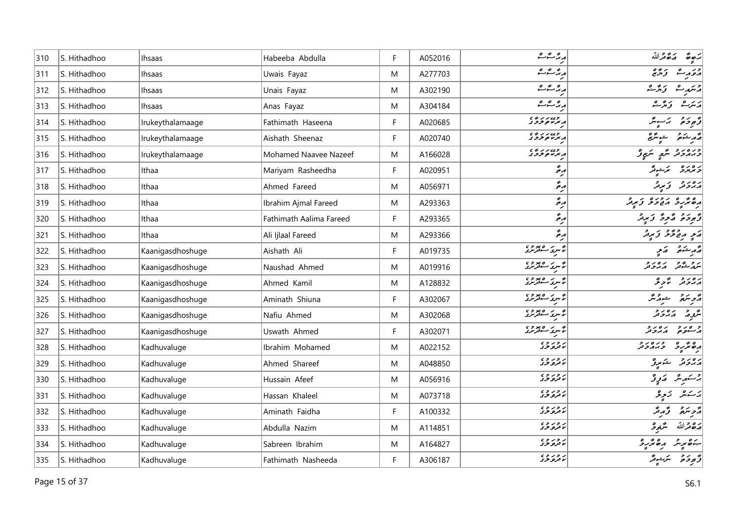| 310 | S. Hithadhoo | <b>Ihsaas</b>    | Habeeba Abdulla         | F  | A052016 | مەئەشە                                          | بَرَصِرَةٌ مَرصَّدَاللَّهُ                  |
|-----|--------------|------------------|-------------------------|----|---------|-------------------------------------------------|---------------------------------------------|
| 311 | S. Hithadhoo | <b>Ihsaas</b>    | Uwais Fayaz             | M  | A277703 | اړ ژبځ ه                                        | أزورت ويرمى                                 |
| 312 | S. Hithadhoo | <b>Ihsaas</b>    | Unais Fayaz             | M  | A302190 | ە بۇ شەشە                                       | د سَمدٍ شَر وَ مَرَّتْ                      |
| 313 | S. Hithadhoo | <b>Ihsaas</b>    | Anas Fayaz              | M  | A304184 | ەبر شەشە                                        | بزىئر ئى ئەركىسى                            |
| 314 | S. Hithadhoo | Irukeythalamaage | Fathimath Haseena       | F. | A020685 | <br>  د بر را بر د بر د بر<br>  د بر را بر و بر | قرموخاته المسبان                            |
| 315 | S. Hithadhoo | Irukeythalamaage | Aishath Sheenaz         | F  | A020740 | כגין גם ז<br>מית טיס <del>ק</del> רב ז          | و د شور شومترچ<br>د مرسنومو                 |
| 316 | S. Hithadhoo | Irukeythalamaage | Mohamed Naavee Nazeef   | M  | A166028 | כ <i>בטיק בי</i> בי<br>מייק איי יודע בי         | ورورو شي سَيِّ و                            |
| 317 | S. Hithadhoo | Ithaa            | Mariyam Rasheedha       | F  | A020951 | برځ                                             | رەرە كەشەگە                                 |
| 318 | S. Hithadhoo | Ithaa            | Ahmed Fareed            | M  | A056971 | برځ                                             | رەرو ئەيد                                   |
| 319 | S. Hithadhoo | Ithaa            | Ibrahim Ajmal Fareed    | M  | A293363 | برځ                                             | رەپرىدە كەردە كەيد                          |
| 320 | S. Hithadhoo | Ithaa            | Fathimath Aalima Fareed | F. | A293365 | وپڻي                                            | وتجوفاه المرفر ويرفر                        |
| 321 | S. Hithadhoo | Ithaa            | Ali Ijlaal Fareed       | M  | A293366 | ويحج                                            | ړې ده دوی وَړی                              |
| 322 | S. Hithadhoo | Kaanigasdhoshuge | Aishath Ali             | F  | A019735 | ر می در ۲۵ و د<br>مگسری سستمبرسری               | مەرىشىمە مەر                                |
| 323 | S. Hithadhoo | Kaanigasdhoshuge | Naushad Ahmed           | M  | A019916 | شهریر صور و ی<br>  سرید سه فنرمرد               | ر و دی و بره ر و<br>سرمر شوتر مدیرکردر      |
| 324 | S. Hithadhoo | Kaanigasdhoshuge | Ahmed Kamil             | M  | A128832 | ش به رج د و د<br>با شبری سونتر دی               | برەر يە ئەربى                               |
| 325 | S. Hithadhoo | Kaanigasdhoshuge | Aminath Shiuna          | F  | A302067 | انځ سره په ده د د چ<br>پانگ سرچ سوفتر سري       | أزويتكم شرارش                               |
| 326 | S. Hithadhoo | Kaanigasdhoshuge | Nafiu Ahmed             | M  | A302068 | شهری صدو و د<br>  شهری سونتر در                 | شرو پره دو                                  |
| 327 | S. Hithadhoo | Kaanigasdhoshuge | Uswath Ahmed            | F. | A302071 | ته سر _ صعر و ی<br>  ته سر سوفتر سر ی           | و ه د و بره د و.<br>مرسوح تم مربر و تر      |
| 328 | S. Hithadhoo | Kadhuvaluge      | Ibrahim Mohamed         | M  | A022152 | ر ور و ،<br>ما تورکو ت                          | و ره ر و<br><i>د ب</i> رگرفر<br>ەر ھەترىر ۋ |
| 329 | S. Hithadhoo | Kadhuvaluge      | Ahmed Shareef           | M  | A048850 | ر ور و ،<br><mark>ئا تر</mark> وموی             |                                             |
| 330 | S. Hithadhoo | Kadhuvaluge      | Hussain Afeef           | M  | A056916 | ر ور و ،<br>ما تعری موم                         | برستېرىنى كەبورى                            |
| 331 | S. Hithadhoo | Kadhuvaluge      | Hassan Khaleel          | M  | A073718 | ر ور و ،<br>ما تولا تو ت                        | يزكتان الزبوقى                              |
| 332 | S. Hithadhoo | Kadhuvaluge      | Aminath Faidha          | F  | A100332 | ر ور و ،<br><mark>ئا ترە ن</mark> ور            | أزوينه وترفد                                |
| 333 | S. Hithadhoo | Kadhuvaluge      | Abdulla Nazim           | M  | A114851 | ر ور و ،<br>ما تولا مو د                        | ەھىراللە<br>سگەد                            |
| 334 | S. Hithadhoo | Kadhuvaluge      | Sabreen Ibrahim         | M  | A164827 | ر ور و ،<br><mark>ئا تر</mark> وموی             | يەۋە بېرىتر<br>ەرھەترىر <sup>9</sup>        |
| 335 | S. Hithadhoo | Kadhuvaluge      | Fathimath Nasheeda      | F  | A306187 | ر ور و ،<br>ما تورکو ت                          | تؤجرخا متمشيقه                              |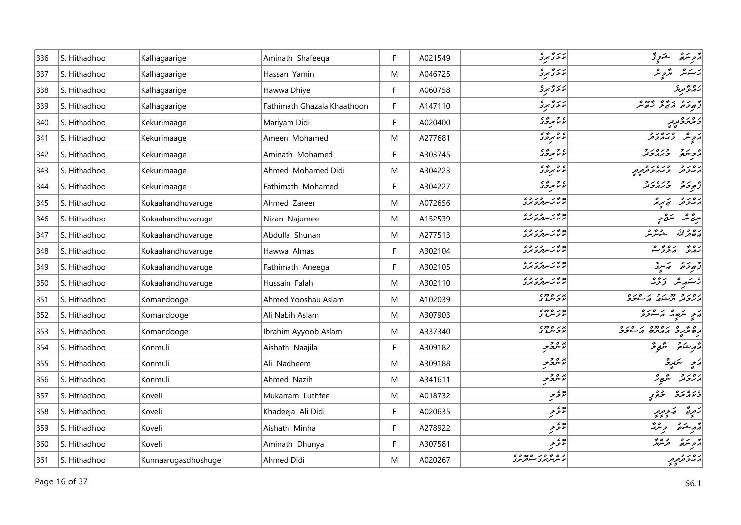| 336 | S. Hithadhoo | Kalhagaarige        | Aminath Shafeeqa            | F  | A021549 | ر ر و .<br>ئاغرى مېرى                   | د گرم شکور دیگر<br>محمد مشکور شکور دیگر                                                                              |
|-----|--------------|---------------------|-----------------------------|----|---------|-----------------------------------------|----------------------------------------------------------------------------------------------------------------------|
| 337 | S. Hithadhoo | Kalhagaarige        | Hassan Yamin                | M  | A046725 | ر ر بر ر د<br>ما تر د مور               | بزخش                                                                                                                 |
| 338 | S. Hithadhoo | Kalhagaarige        | Hawwa Dhiye                 | F. | A060758 | پر پر پر<br>  ما ملۍ موږي               | رە بە يەتە<br>ئەھەقەيەتە                                                                                             |
| 339 | S. Hithadhoo | Kalhagaarige        | Fathimath Ghazala Khaathoon | F. | A147110 | پر په په<br>  با بار کامبری             | <u> 1999 - 1999 - 1999 - 1999 - 1999 - 1999 - 1999 - 1999 - 1999 - 1999 - 1999 - 1999 - 1999 - 1999 - 1999 - 199</u> |
| 340 | S. Hithadhoo | Kekurimaage         | Mariyam Didi                | F  | A020400 | ه د و و،<br>ما مرد د                    | ر کے بره ديدي <sub>د</sub><br> تر <i>بر</i> وگويويو                                                                  |
| 341 | S. Hithadhoo | Kekurimaage         | Ameen Mohamed               | M  | A277681 | ، ج به پوځ<br>مړينو پوځ                 | أروه ورورو                                                                                                           |
| 342 | S. Hithadhoo | Kekurimaage         | Aminath Mohamed             | F. | A303745 | ه د په وه<br>ما ما مرد د                | י ני ניסני<br>גריעי במגבת                                                                                            |
| 343 | S. Hithadhoo | Kekurimaage         | Ahmed Mohamed Didi          | M  | A304223 | ې د پرې<br>ما ما مورۍ                   | - د ره ر د<br>د بر د د ترترتر<br>بر 2 د تر<br>م <i>ر</i> بر <del>د</del> تر                                          |
| 344 | S. Hithadhoo | Kekurimaage         | Fathimath Mohamed           | F  | A304227 | ، د بر پر<br>ما ما مرکزی                | و ده دره در د                                                                                                        |
| 345 | S. Hithadhoo | Kokaahandhuvaruge   | Ahmed Zareer                | M  | A072656 | پر در بر در د د<br>تا تا تر سرچری مور   | رەرو پەيد                                                                                                            |
| 346 | S. Hithadhoo | Kokaahandhuvaruge   | Nizan Najumee               | M  | A152539 | پر دی بر در د د<br>ما ما که سرچری مرد   | سرتج شر سكرة بح                                                                                                      |
| 347 | S. Hithadhoo | Kokaahandhuvaruge   | Abdulla Shunan              | M  | A277513 | پر در بر در د د ،<br>د را رکسرفری مرد   | برە تراللە<br>ىشە ئىر ئىر                                                                                            |
| 348 | S. Hithadhoo | Kokaahandhuvaruge   | Hawwa Almas                 | F  | A302104 | پر در بر در د د<br>تا تا تر سرفری بود   | برە ئەرەپ                                                                                                            |
| 349 | S. Hithadhoo | Kokaahandhuvaruge   | Fathimath Aneega            | F  | A302105 | پر در بر در د د<br>تا تا تر سرفری مرد   | ۇۋۇۋە كەسق                                                                                                           |
| 350 | S. Hithadhoo | Kokaahandhuvaruge   | Hussain Falah               | M  | A302110 | پر پر را در در در د                     | جرسكار يكرميني                                                                                                       |
| 351 | S. Hithadhoo | Komandooge          | Ahmed Yooshau Aslam         | M  | A102039 | پر ره دد ،<br>ما تر سرد ک               | נים כדי המרי המונים בים.<br>המכני תיימה האייביבים                                                                    |
| 352 | S. Hithadhoo | Komandooge          | Ali Nabih Aslam             | M  | A307903 | پر بر دود تا<br>ما تر سرچ ی             | ړَي سَهِ رُک دَوَدُ                                                                                                  |
| 353 | S. Hithadhoo | Komandooge          | Ibrahim Ayyoob Aslam        | M  | A337340 | پر ره دد ،<br>ما تر سرد ک               | הסתיכ גמתם גם בכל                                                                                                    |
| 354 | S. Hithadhoo | Konmuli             | Aishath Naajila             | F. | A309182 | تزهرته و                                | پ <sup>ر</sup> پر شده<br>پر مشده<br>سٌرْحِ مَرَّ                                                                     |
| 355 | S. Hithadhoo | Konmuli             | Ali Nadheem                 | M  | A309188 | لامرد و                                 | ړې شمېرو                                                                                                             |
| 356 | S. Hithadhoo | Konmuli             | Ahmed Nazih                 | M  | A341611 | تزهرته و                                | ر ە ر د<br>م <i>.ئ</i> رى تىر<br>سَّرى ر                                                                             |
| 357 | S. Hithadhoo | Koveli              | Mukarram Luthfee            | M  | A018732 | تدءبر                                   | و ره ره<br><del>و</del> نام <del>بر</del> و<br>ترجمي                                                                 |
| 358 | S. Hithadhoo | Koveli              | Khadeeja Ali Didi           | F  | A020635 | تدءبر                                   | زَمرِيحٌ - مَا وِمَرِمرِ                                                                                             |
| 359 | S. Hithadhoo | Koveli              | Aishath Minha               | F  | A278922 | بری<br>موٹر                             | أمار منعفى وبثر                                                                                                      |
| 360 | S. Hithadhoo | Koveli              | Aminath Dhunya              | F  | A307581 | بر ،<br>ما حر م                         | أأرمره<br>و ه پر<br>ترس                                                                                              |
| 361 | S. Hithadhoo | Kunnaarugasdhoshuge | Ahmed Didi                  | M  | A020267 | و ه په ور ه مو و و<br>د سرسربري سوترمري | ر صر و دید در<br> پر بر د تردر در                                                                                    |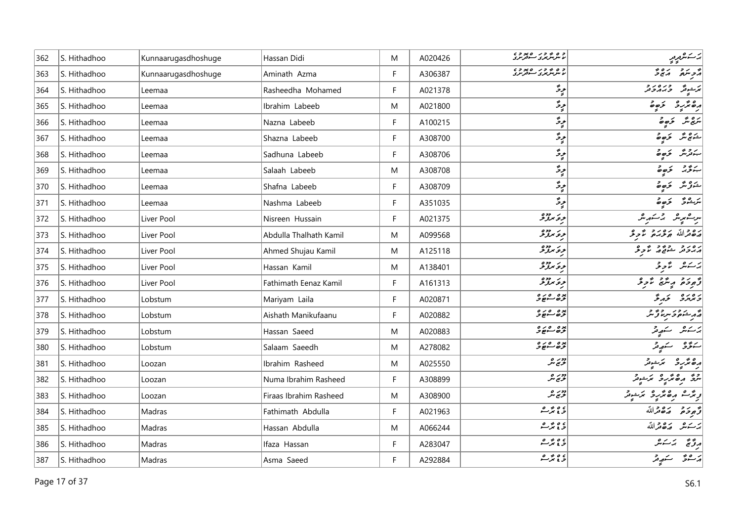| 362 | S. Hithadhoo | Kunnaarugasdhoshuge | Hassan Didi            | M  | A020426 | و ۵ پر و ر ۵ پر و ۷<br>د سرسربري سوترمري |                                                                                                                           |
|-----|--------------|---------------------|------------------------|----|---------|------------------------------------------|---------------------------------------------------------------------------------------------------------------------------|
| 363 | S. Hithadhoo | Kunnaarugasdhoshuge | Aminath Azma           | F  | A306387 | و ۵ پر و ر ۵ پر و ۷<br>د سرس پر ک        | أرمز<br>بروبح                                                                                                             |
| 364 | S. Hithadhoo | Leemaa              | Rasheedha Mohamed      | F  | A021378 | مجرشح                                    | و ره ر و<br><i>و پر د</i> تر<br>ىمەسىيەتىر                                                                                |
| 365 | S. Hithadhoo | Leemaa              | Ibrahim Labeeb         | M  | A021800 | جرجح                                     | ەرھ ئ <sup>ۆ</sup> ر ۋ<br>$\overset{\textit{2}}{\phi\phi\cancel{3}}$                                                      |
| 366 | S. Hithadhoo | Leemaa              | Nazna Labeeb           | F  | A100215 | حرِرٌ                                    | ىرە ئە ئەھ                                                                                                                |
| 367 | S. Hithadhoo | Leemaa              | Shazna Labeeb          | F  | A308700 | مجرشح                                    | شەيمىگە ئۇھ ق                                                                                                             |
| 368 | S. Hithadhoo | Leemaa              | Sadhuna Labeeb         | F  | A308706 | محرِرٌ                                   | بەدىر ئەھ                                                                                                                 |
| 369 | S. Hithadhoo | Leemaa              | Salaah Labeeb          | M  | A308708 | جرجح                                     | بدود وَهِ هُ                                                                                                              |
| 370 | S. Hithadhoo | Leemaa              | Shafna Labeeb          | F. | A308709 | مجرشح                                    | ىشۇر ئىگر<br>$\overset{\scriptscriptstyle\mathsf{--}}{\mathsf{--}}\overset{\scriptscriptstyle\mathsf{--}}{\mathsf{--}}\,$ |
| 371 | S. Hithadhoo | Leemaa              | Nashma Labeeb          | F  | A351035 | ويتح                                     | سَرَڪْرَ<br>$\overset{\scriptscriptstyle\mathsf{--}}{\mathsf{--}}\overset{\scriptscriptstyle\mathsf{--}}{\mathsf{--}}\,$  |
| 372 | S. Hithadhoo | Liver Pool          | Nisreen Hussain        | F  | A021375 | جونمردوه                                 | للرسفيريش الإسكريش                                                                                                        |
| 373 | S. Hithadhoo | Liver Pool          | Abdulla Thalhath Kamil | M  | A099568 | وە بردو                                  | رە داللە پروبرو ئۇچۇ                                                                                                      |
| 374 | S. Hithadhoo | Liver Pool          | Ahmed Shujau Kamil     | M  | A125118 | وە بردو                                  | رەرە ئەقەر ئام                                                                                                            |
| 375 | S. Hithadhoo | Liver Pool          | Hassan Kamil           | M  | A138401 | م <sub>ر</sub> ه دوه<br>مرغ بود م        | ىرىكىش ئۇچەق                                                                                                              |
| 376 | S. Hithadhoo | Liver Pool          | Fathimath Eenaz Kamil  | F  | A161313 | وءَ بوڏو                                 | قهوخو ويتنى تزوفه                                                                                                         |
| 377 | S. Hithadhoo | Lobstum             | Mariyam Laila          | F  | A020871 | بره روره<br>مر <i>ه س</i> وره            | ويروه تزرقه                                                                                                               |
| 378 | S. Hithadhoo | Lobstum             | Aishath Manikufaanu    | F  | A020882 | بره روره<br>نر <i>ه س</i> وره            | ۇرمۇمۇچ سرىز ئۆتىر                                                                                                        |
| 379 | S. Hithadhoo | Lobstum             | Hassan Saeed           | M  | A020883 | بره روره<br>مر <i>ه س</i> وره            | پرستانلار ستار پر                                                                                                         |
| 380 | S. Hithadhoo | Lobstum             | Salaam Saeedh          | M  | A278082 | بره ره <i>ده</i>                         | ىە ئۇچ<br>ستهرمتر                                                                                                         |
| 381 | S. Hithadhoo | Loozan              | Ibrahim Rasheed        | M  | A025550 | ددر ه<br>مربع مثر                        | رە ئرىر ئىن ئىشىر                                                                                                         |
| 382 | S. Hithadhoo | Loozan              | Numa Ibrahim Rasheed   | F  | A308899 | ددر ه<br>مربع مګر                        | يرو أرەتۇر ئەسر                                                                                                           |
| 383 | S. Hithadhoo | Loozan              | Firaas Ibrahim Rasheed | M  | A308900 | ددر ه<br>مخی مگر                         | وبڑے مقدیرہ برجو                                                                                                          |
| 384 | S. Hithadhoo | Madras              | Fathimath Abdulla      | F. | A021963 | <sup>ى ج</sup> بۇ شە                     | وتجرح وكالله                                                                                                              |
| 385 | S. Hithadhoo | Madras              | Hassan Abdulla         | M  | A066244 | <sup>ى 6</sup> ئىر مىشە                  | برسك وكالاتي                                                                                                              |
| 386 | S. Hithadhoo | Madras              | Ifaza Hassan           | F. | A283047 | <sup>ى ە ع</sup> رت                      | برسەھە<br>ەر قەتىج                                                                                                        |
| 387 | S. Hithadhoo | Madras              | Asma Saeed             | F  | A292884 | <sup>ي ه</sup> پڙ پ <u>ه</u>             | أراح فلتحصيص                                                                                                              |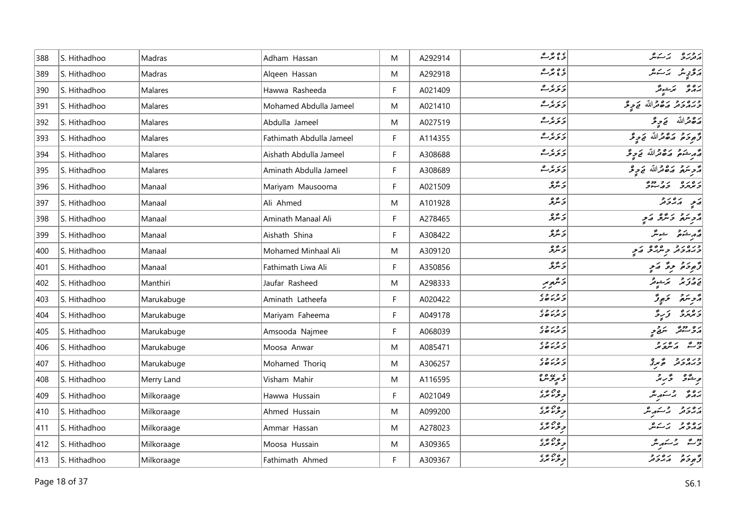| 388 | S. Hithadhoo | Madras         | Adham Hassan             | M           | A292914 | <sub>ئ</sub> ہ پڑے                             | روره پرسکر                                                                                                                                                                                                          |
|-----|--------------|----------------|--------------------------|-------------|---------|------------------------------------------------|---------------------------------------------------------------------------------------------------------------------------------------------------------------------------------------------------------------------|
| 389 | S. Hithadhoo | Madras         | Algeen Hassan            | M           | A292918 | <sup>ى ە ع</sup> رىشە                          | كەنتى كى ئەسكەنلەر                                                                                                                                                                                                  |
| 390 | S. Hithadhoo | Malares        | Hawwa Rasheeda           | F           | A021409 | ئەنزىر شە                                      | $\begin{array}{cc} \overbrace{\hspace{1cm}}^{\hspace{1cm} 0\, \, 0\, \, \mu}_{\hspace{1cm}\, \mu} \end{array} \begin{array}{c} \overbrace{\hspace{1cm}}^{\hspace{1cm} 0\, \, \mu}_{\hspace{1cm}\, \mu} \end{array}$ |
| 391 | S. Hithadhoo | <b>Malares</b> | Mohamed Abdulla Jameel   | M           | A021410 | ئەبرىمەر                                       | وره رو رووالله يمره                                                                                                                                                                                                 |
| 392 | S. Hithadhoo | Malares        | Abdulla Jameel           | M           | A027519 | ئەنزىر مىشە<br>  <del>ئە</del> نزىر مىشە       | رە دالله ق د د                                                                                                                                                                                                      |
| 393 | S. Hithadhoo | Malares        | Fathimath Abdulla Jameel | F           | A114355 | ئەنزىر ھ                                       | قَرِ وَحَدَّ مِنْ مَعْ اللَّهُ فَيَ جِ عَرَ                                                                                                                                                                         |
| 394 | S. Hithadhoo | <b>Malares</b> | Aishath Abdulla Jameel   | F           | A308688 | ئەنزىر شە                                      | قهر مقوم وكافترالله في حي                                                                                                                                                                                           |
| 395 | S. Hithadhoo | Malares        | Aminath Abdulla Jameel   | F           | A308689 | ئەئە ئەرە                                      | وتحريبهم وتحادثه فأحريحه                                                                                                                                                                                            |
| 396 | S. Hithadhoo | Manaal         | Mariyam Mausooma         | F.          | A021509 | ىر ئەر                                         | נים נים נדור ברוביים ביו הרוביים ברוביים ברוביים ברוביים ברוביים ברוביים ברוביים ברוביים ברוביים ברוביים ביו ב<br>המודעות הרוביים ברוביים ברוביים ברוביים ברוביים ברוביים ברוביים ברוביים ברו                       |
| 397 | S. Hithadhoo | Manaal         | Ali Ahmed                | M           | A101928 | ىر ئىرىۋ                                       | ړی پرورو                                                                                                                                                                                                            |
| 398 | S. Hithadhoo | Manaal         | Aminath Manaal Ali       | F.          | A278465 | ىر ئەر                                         | أزويتم وترو أيمي                                                                                                                                                                                                    |
| 399 | S. Hithadhoo | Manaal         | Aishath Shina            | F           | A308422 | ر پڑو                                          | لأرشكم شرس                                                                                                                                                                                                          |
| 400 | S. Hithadhoo | Manaal         | Mohamed Minhaal Ali      | M           | A309120 | ىر پە ھ                                        | כנסגב כיתיב בב                                                                                                                                                                                                      |
| 401 | S. Hithadhoo | Manaal         | Fathimath Liwa Ali       | F.          | A350856 | ىر ئىرىۋ                                       | وتودة ووالمر                                                                                                                                                                                                        |
| 402 | S. Hithadhoo | Manthiri       | Jaufar Rasheed           | M           | A298333 | ئەشھوسر                                        | د ور و<br>  ج <i>ه و ند</i> سمکنی می                                                                                                                                                                                |
| 403 | S. Hithadhoo | Marukabuge     | Aminath Latheefa         | $\mathsf F$ | A020422 | ر ور د ،<br><del>ر</del> بر ره د               | أأرجع أوالمحجوقر                                                                                                                                                                                                    |
| 404 | S. Hithadhoo | Marukabuge     | Mariyam Faheema          | F           | A049178 | ر ور و ،<br><del>ر</del> بر ره د               | كالمحتملات وكالمحالج                                                                                                                                                                                                |
| 405 | S. Hithadhoo | Marukabuge     | Amsooda Najmee           | F           | A068039 | ر ور و ،<br><del>و</del> بو ره ی               | پره دونو در پر پر                                                                                                                                                                                                   |
| 406 | S. Hithadhoo | Marukabuge     | Moosa Anwar              | M           | A085471 | ر ور و ،<br>تر بوره ی                          | ورث كما الرحام                                                                                                                                                                                                      |
| 407 | S. Hithadhoo | Marukabuge     | Mohamed Thoriq           | M           | A306257 | ر در د ،<br>د برنا ۲۵ ک                        | ورەر د ئەرە                                                                                                                                                                                                         |
| 408 | S. Hithadhoo | Merry Land     | Visham Mahir             | M           | A116595 | ې په پوه ده<br>د پر پوه مرغ                    | ويشكى كالربار                                                                                                                                                                                                       |
| 409 | S. Hithadhoo | Milkoraage     | Hawwa Hussain            | F           | A021049 | وه ه و و ،<br>د څرما مرد                       | برە ئەسكەلگ                                                                                                                                                                                                         |
| 410 | S. Hithadhoo | Milkoraage     | Ahmed Hussain            | M           | A099200 | و ۵ ۵ و <sup>ي</sup><br>د نرما تر <sub>ک</sub> | رەرو جەكتەر ش                                                                                                                                                                                                       |
| 411 | S. Hithadhoo | Milkoraage     | Ammar Hassan             | M           | A278023 | ه ۵۵ و ،<br>د نوم تور                          | رەپ برىش                                                                                                                                                                                                            |
| 412 | S. Hithadhoo | Milkoraage     | Moosa Hussain            | M           | A309365 | ووه پره                                        | دوره به در مره<br>در من                                                                                                                                                                                             |
| 413 | S. Hithadhoo | Milkoraage     | Fathimath Ahmed          | F           | A309367 | ه ۵۵ و،<br>تر څرندنو                           | قرم ده دره دره                                                                                                                                                                                                      |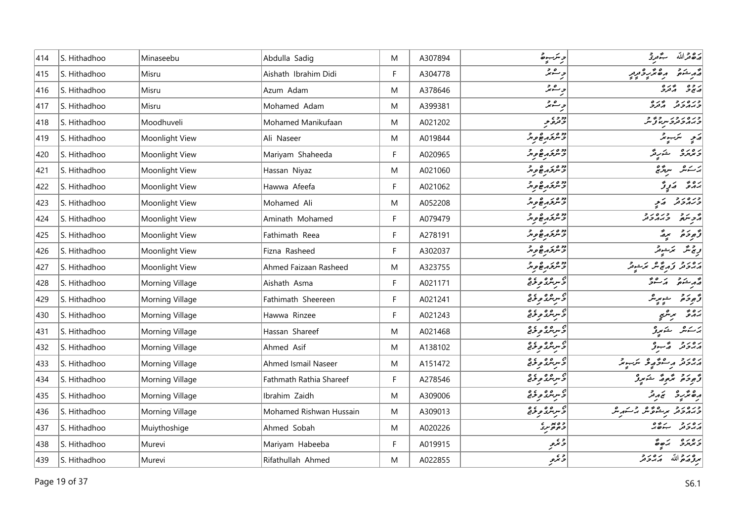| 414 | S. Hithadhoo | Minaseebu             | Abdulla Sadig           | M         | A307894 | حەمئەب جە<br>س                                  | أرة قرالله بمعرفه                                                                                |
|-----|--------------|-----------------------|-------------------------|-----------|---------|-------------------------------------------------|--------------------------------------------------------------------------------------------------|
| 415 | S. Hithadhoo | Misru                 | Aishath Ibrahim Didi    | F         | A304778 | ورهيمه                                          | و مر شو د<br>مر<br>ە ھەتگرىر3 تىرتىر                                                             |
| 416 | S. Hithadhoo | Misru                 | Azum Adam               | M         | A378646 | د ره د                                          | $\begin{array}{c} \circ \\ \circ \\ \circ \circ \end{array}$                                     |
| 417 | S. Hithadhoo | Misru                 | Mohamed Adam            | M         | A399381 | ورهيمه                                          | و ر ه ر د<br>و پر پر <del>و</del> تر<br>پور ہ<br>مرکز                                            |
| 418 | S. Hithadhoo | Moodhuveli            | Mohamed Manikufaan      | ${\sf M}$ | A021202 | دد و بر<br>تر تعري م                            | ورە رور سردۇ.<br><i>دېد</i> ە <i>ج</i> ىرى س                                                     |
| 419 | S. Hithadhoo | <b>Moonlight View</b> | Ali Naseer              | M         | A019844 | وحمر فركو وحر                                   | أوسمع المترسية متر                                                                               |
| 420 | S. Hithadhoo | <b>Moonlight View</b> | Mariyam Shaheeda        | F         | A020965 |                                                 | ويوبره<br>شە ئەر قىر                                                                             |
| 421 | S. Hithadhoo | Moonlight View        | Hassan Niyaz            | M         | A021060 | ده عربه عام در<br>د مرکز ماهورد                 | برسەيىتە<br>سرگرمج                                                                               |
| 422 | S. Hithadhoo | Moonlight View        | Hawwa Afeefa            | F         | A021062 | در مربر مع مرکز<br>  در مرکز مرکز مرکز          | پەرى كەرى                                                                                        |
| 423 | S. Hithadhoo | <b>Moonlight View</b> | Mohamed Ali             | M         | A052208 | وممرخرمر عورمر                                  | ورەرو كې                                                                                         |
| 424 | S. Hithadhoo | <b>Moonlight View</b> | Aminath Mohamed         | F         | A079479 | وممرغر مقومر                                    | و ر ه ر د<br>تربر پر تر<br>ړګر سره                                                               |
| 425 | S. Hithadhoo | Moonlight View        | Fathimath Reea          | F         | A278191 | وممرغر مقومر                                    | ۇ بوچ <sub>ە</sub><br>سميره                                                                      |
| 426 | S. Hithadhoo | Moonlight View        | Fizna Rasheed           | F         | A302037 | ومرغر وغور                                      | ۇچ ئىگە ئىمە ئىسىدىگە                                                                            |
| 427 | S. Hithadhoo | <b>Moonlight View</b> | Ahmed Faizaan Rasheed   | M         | A323755 | وممرخر مقحوم                                    | رورد ژرپاس پزیدگر                                                                                |
| 428 | S. Hithadhoo | Morning Village       | Aishath Asma            | F         | A021171 | م<br> دسر سرعوفرقع                              | وأرشكم وسنو                                                                                      |
| 429 | S. Hithadhoo | Morning Village       | Fathimath Sheereen      | F         | A021241 | ئۇسرىتىمى <i>ئى</i> رىقى<br>                    | ۇ بوڭ ھېرىگر<br>ك                                                                                |
| 430 | S. Hithadhoo | Morning Village       | Hawwa Rinzee            | F         | A021243 | ئۇسرىئىدى ئۇقى                                  | $rac{20}{200}$<br>ىرىشىچ                                                                         |
| 431 | S. Hithadhoo | Morning Village       | Hassan Shareef          | M         | A021468 | <sup>ج</sup> سر سر محمد و قرمح<br>حس            | برسەيىتە<br>شەمرۇ                                                                                |
| 432 | S. Hithadhoo | Morning Village       | Ahmed Asif              | ${\sf M}$ | A138102 | ئۇسرىتى <sub>مۇ قو</sub> مۇق <sub>ە</sub>       | رەرد شەر                                                                                         |
| 433 | S. Hithadhoo | Morning Village       | Ahmed Ismail Naseer     | M         | A151472 | <sup>ج</sup> سر سر محمد و قرم کردند که به ایران | رەرد رەشۇر ئىب                                                                                   |
| 434 | S. Hithadhoo | Morning Village       | Fathmath Rathia Shareef | F         | A278546 | ە بىر بىرى <sub>ئو</sub> رى                     | ژُودو نُرُوهُ ځوړو                                                                               |
| 435 | S. Hithadhoo | Morning Village       | Ibrahim Zaidh           | M         | A309006 | ئۇسرىتىمى <i>ئى</i> رىقى<br>                    | موه محمد سم محمد مقر                                                                             |
| 436 | S. Hithadhoo | Morning Village       | Mohamed Rishwan Hussain | M         | A309013 | ئۇسرىنىڭ م <sub>و</sub> خىقى                    | ورەرو برخوش پرستهرس                                                                              |
| 437 | S. Hithadhoo | Muiythoshige          | Ahmed Sobah             | M         | A020226 | و ه بر پر<br>تر موم مړي                         | بە ئەھ<br>ەرەر د                                                                                 |
| 438 | S. Hithadhoo | Murevi                | Mariyam Habeeba         | F         | A019915 | وتجمع                                           | ر ه ر ه<br><del>ر</del> بربرگ<br>$\overset{\circ}{\circ}\overset{\circ}{\circ}\widetilde{\cdot}$ |
| 439 | S. Hithadhoo | Murevi                | Rifathullah Ahmed       | M         | A022855 | ويمو                                            | برورة الله بره رو                                                                                |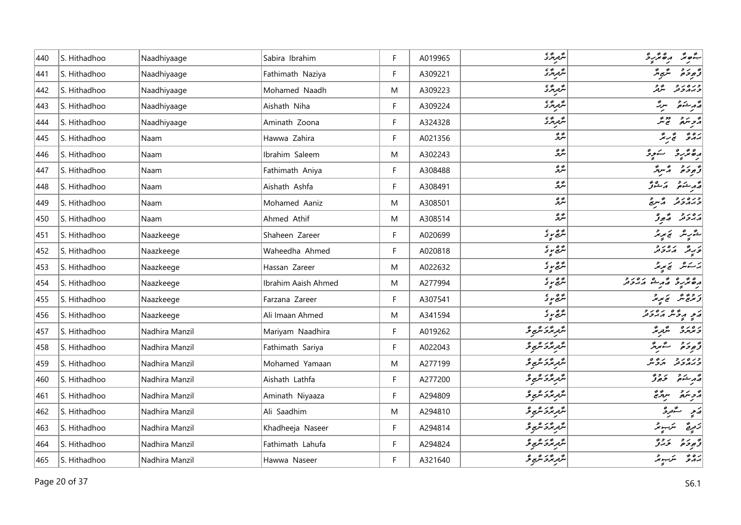| 440 | S. Hithadhoo | Naadhiyaage    | Sabira Ibrahim      | F         | A019965 | شوره دي<br>سرگرمرد                   | وە ئەربى<br>بثوءثر                  |
|-----|--------------|----------------|---------------------|-----------|---------|--------------------------------------|-------------------------------------|
| 441 | S. Hithadhoo | Naadhiyaage    | Fathimath Naziya    | F         | A309221 | شوره ده<br>سرگورگری                  | و مر د<br>تر موحر می<br>ىترىجە تر   |
| 442 | S. Hithadhoo | Naadhiyaage    | Mohamed Naadh       | M         | A309223 | شوره ده<br>سرگورگری                  | و رە ر د<br><i>د بە</i> پەر<br>سرور |
| 443 | S. Hithadhoo | Naadhiyaage    | Aishath Niha        | F         | A309224 | شوره پر                              | ر<br>د که د شوه<br>د<br>سرجح        |
| 444 | S. Hithadhoo | Naadhiyaage    | Aminath Zoona       | F         | A324328 | شوره دي<br>سرگرمرد                   | دو پر<br>س<br>أروسكو                |
| 445 | S. Hithadhoo | Naam           | Hawwa Zahira        | F         | A021356 | ىترچ                                 | رەم ئېرىتى                          |
| 446 | S. Hithadhoo | Naam           | Ibrahim Saleem      | ${\sf M}$ | A302243 | سرچ                                  | ە ھەترىر <sup>ە</sup><br>سەمەيە     |
| 447 | S. Hithadhoo | Naam           | Fathimath Aniya     | F         | A308488 | سرو                                  | وٌودو وُسِرٌ                        |
| 448 | S. Hithadhoo | Naam           | Aishath Ashfa       | F         | A308491 | سرچ                                  | مەر خىكى ئەر ئىش                    |
| 449 | S. Hithadhoo | Naam           | Mohamed Aaniz       | M         | A308501 | سرچ                                  | כגמכנג הביתה                        |
| 450 | S. Hithadhoo | Naam           | Ahmed Athif         | M         | A308514 | سرچ                                  | أرور والمجموفر                      |
| 451 | S. Hithadhoo | Naazkeege      | Shaheen Zareer      | F         | A020699 | ېژه پ <sub>و</sub> لنې               | شگړېند ځېږيز                        |
| 452 | S. Hithadhoo | Naazkeege      | Waheedha Ahmed      | F         | A020818 | پره<br>مترچ پوځ                      | كوبرنتر كديرونر                     |
| 453 | S. Hithadhoo | Naazkeege      | Hassan Zareer       | M         | A022632 | پره په د                             | ير کے معر کے موبر                   |
| 454 | S. Hithadhoo | Naazkeege      | Ibrahim Aaish Ahmed | M         | A277994 | پره<br>مرچ پوځ                       | رەپرىدە مەر شەر مەددىر              |
| 455 | S. Hithadhoo | Naazkeege      | Farzana Zareer      | F         | A307541 | پره<br>متریخ پ <sub>و</sub> ر        | ۇ يۇقى ئىم يېتى                     |
| 456 | S. Hithadhoo | Naazkeege      | Ali Imaan Ahmed     | M         | A341594 | پره مړي<br>متر ج                     | أرو أروس الملاحد                    |
| 457 | S. Hithadhoo | Nadhira Manzil | Mariyam Naadhira    | F         | A019262 | ىئ <sub>رىم</sub> رىز ئىسى ئى        | دەرە شېر                            |
| 458 | S. Hithadhoo | Nadhira Manzil | Fathimath Sariya    | F         | A022043 | ىئ <sub>رىر</sub> ئەزىرى<br>م        | سەّىرىر<br>ۇ ب <sub>و</sub> ر د     |
| 459 | S. Hithadhoo | Nadhira Manzil | Mohamed Yamaan      | M         | A277199 | ىئ <sub>رىم</sub> رىز ئىسى ئى        | و ر ه ر د<br>تر پر تر تر<br>ىر ئە ھ |
| 460 | S. Hithadhoo | Nadhira Manzil | Aishath Lathfa      | F         | A277200 | ى <i>گەرىگە كەنگى ب</i>              |                                     |
| 461 | S. Hithadhoo | Nadhira Manzil | Aminath Niyaaza     | F         | A294809 | م <sup>ۇ</sup> برىر <i>ۋىر ھى</i> ئى | أأدبتكم بترامي                      |
| 462 | S. Hithadhoo | Nadhira Manzil | Ali Saadhim         | ${\sf M}$ | A294810 | ىئ <sub>رىرى</sub> ئەرگىرى ئى        | ړې گېږ <sup>و</sup><br>مړينې        |
| 463 | S. Hithadhoo | Nadhira Manzil | Khadheeja Naseer    | F         | A294814 | ى <i>گەرىگە كەنگى بى</i>             | زَ ورِجَّ<br>شَ<br>ىئەسپەتمە        |
| 464 | S. Hithadhoo | Nadhira Manzil | Fathimath Lahufa    | F         | A294824 | ىئ <sub>رىرى</sub> ئەسىر ئى          | و مر د<br>تر مور می<br>ىزچەتى       |
| 465 | S. Hithadhoo | Nadhira Manzil | Hawwa Naseer        | F         | A321640 | ىئرىرى <i>گە ئەھبى</i> ر ئى          | رەپ سىبدىر                          |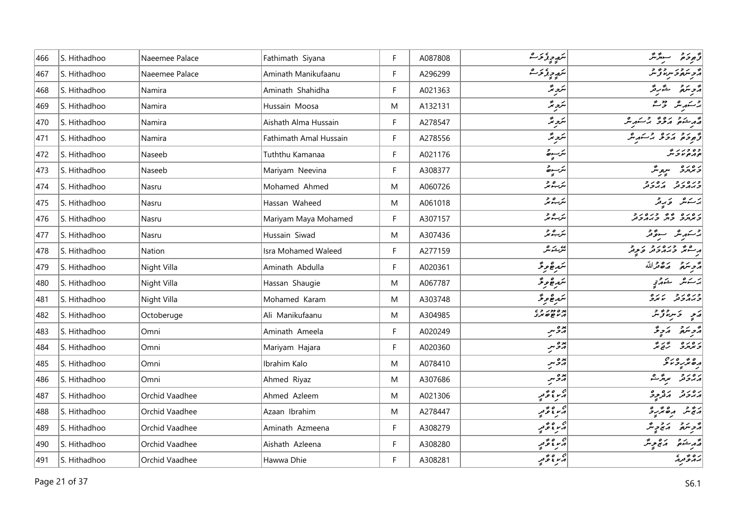| 466 | S. Hithadhoo | Naeemee Palace | Fathimath Siyana       | F  | A087808 | ىئ <sub>م</sub> رى <sub>ر</sub> ئۇ ئە <sup>م</sup> | أزودة سترتثر                       |
|-----|--------------|----------------|------------------------|----|---------|----------------------------------------------------|------------------------------------|
| 467 | S. Hithadhoo | Naeemee Palace | Aminath Manikufaanu    | F  | A296299 | ايى <sub>موقى</sub> ئەنبە                          | ۇ ئەسكەن ئەرەق ئەر                 |
| 468 | S. Hithadhoo | Namira         | Aminath Shahidha       | F. | A021363 | يئرجر                                              | ومحر متوسقه المشرير                |
| 469 | S. Hithadhoo | Namira         | Hussain Moosa          | M  | A132131 | يئرجر                                              | برسكر هو حريثة                     |
| 470 | S. Hithadhoo | Namira         | Aishath Alma Hussain   | F  | A278547 | ىئرىرىتى                                           | مەر دەر دەر جام بىر                |
| 471 | S. Hithadhoo | Namira         | Fathimath Amal Hussain | F  | A278556 | ىئرجرىتى                                           | وتجوجهم محرقه برسكريمر             |
| 472 | S. Hithadhoo | Naseeb         | Tuththu Kamanaa        | F  | A021176 | ىكە سەھ<br>ئ                                       | ده در ری<br>میمونوس                |
| 473 | S. Hithadhoo | Naseeb         | Mariyam Neevina        | F  | A308377 | ىكە سەھ<br>ئ                                       | تر ورو سر پر ش                     |
| 474 | S. Hithadhoo | Nasru          | Mohamed Ahmed          | M  | A060726 | ىر رە ج                                            | כנסנכ נסנכ<br>כ <i>ג</i> ונכנ וגבנ |
| 475 | S. Hithadhoo | Nasru          | Hassan Waheed          | M  | A061018 | ىئەبەيجە                                           | پرستانئر    ایرانیژ                |
| 476 | S. Hithadhoo | Nasru          | Mariyam Maya Mohamed   | F. | A307157 | ىئرىبىۋىر                                          | נסנס שב כנסנכ<br>כמחב בח בממכת     |
| 477 | S. Hithadhoo | Nasru          | Hussain Siwad          | M  | A307436 | ىئرىبە بر                                          | جەسەر شەھەر<br>سىسىر سىسىر         |
| 478 | S. Hithadhoo | Nation         | Isra Mohamed Waleed    | F  | A277159 | ىي <sub>رىشى</sub> ر                               | ر مشر وره د و د دور                |
| 479 | S. Hithadhoo | Night Villa    | Aminath Abdulla        | F  | A020361 | ىئەرغۇر ئۇ                                         | وحريرة وكالله                      |
| 480 | S. Hithadhoo | Night Villa    | Hassan Shaugie         | M  | A067787 | سَم <i>دِ ع</i> ُو تَرُ                            | پرسەش شەرىخ                        |
| 481 | S. Hithadhoo | Night Villa    | Mohamed Karam          | M  | A303748 | ىئەرغۇر ئۇ                                         | وره رو دره                         |
| 482 | S. Hithadhoo | Octoberuge     | Ali Manikufaanu        | M  | A304985 | ה ס בב ה כ ג<br>ג ט פיס זה ב                       | دَمِي    دَسِرة وَمَدْ             |
| 483 | S. Hithadhoo | Omni           | Aminath Ameela         | F  | A020249 | الدوسر                                             | ړٌ پر سَرَ پَر په د                |
| 484 | S. Hithadhoo | Omni           | Mariyam Hajara         | F  | A020360 | اقتصبر                                             | ويوبره<br>ی رنج<br>گھ مگر          |
| 485 | S. Hithadhoo | Omni           | Ibrahim Kalo           | M  | A078410 | بره<br>مرڪبير                                      |                                    |
| 486 | S. Hithadhoo | Omni           | Ahmed Riyaz            | M  | A307686 | بره<br>مرخ سر                                      | رەرە پېژىشى                        |
| 487 | S. Hithadhoo | Orchid Vaadhee | Ahmed Azleem           | M  | A021306 | وكمره وكحمير                                       | أرەر ئەربى                         |
| 488 | S. Hithadhoo | Orchid Vaadhee | Azaan Ibrahim          | M  | A278447 | ەر بە ئەھمە<br>مەس ئەھمە                           | مَ مِّسْ مِعْمَٰدٍ وَ              |
| 489 | S. Hithadhoo | Orchid Vaadhee | Aminath Azmeena        | F  | A308279 | ەر مۇھر<br>مەس ئەھەر                               | أأرجع أكافح بالمحمر وبالمر         |
| 490 | S. Hithadhoo | Orchid Vaadhee | Aishath Azleena        | F  | A308280 | ە<br>مەر ۋە ئور                                    | پ <sup>و</sup> مرشوحو<br>ړ ه پر پر |
| 491 | S. Hithadhoo | Orchid Vaadhee | Hawwa Dhie             | F  | A308281 | ە<br>مەر جۇمىر                                     | بەدە بور                           |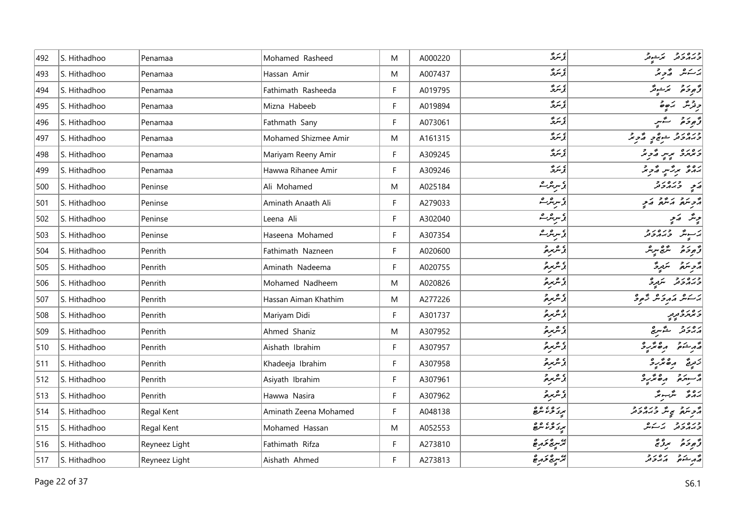| 492 | S. Hithadhoo | Penamaa       | Mohamed Rasheed       | M           | A000220 | ې پر پر<br>برسر <del>ت</del> ر           | وره د و هم پر شوند<br>  و بر بر و هم سر پر شوند |
|-----|--------------|---------------|-----------------------|-------------|---------|------------------------------------------|-------------------------------------------------|
| 493 | S. Hithadhoo | Penamaa       | Hassan Amir           | M           | A007437 | ې پر پر<br>بر سرچ                        | برسكش وكالحرائر                                 |
| 494 | S. Hithadhoo | Penamaa       | Fathimath Rasheeda    | F           | A019795 | ې پر پر<br>بر سرچ                        | رُّمُوحَمُّ يَرَجُومُّ                          |
| 495 | S. Hithadhoo | Penamaa       | Mizna Habeeb          | F           | A019894 | ې پر پر                                  | د فرنگر بر کوه                                  |
| 496 | S. Hithadhoo | Penamaa       | Fathmath Sany         | F           | A073061 | ې پر پر<br>بر سرچ                        | توجوحتم                                         |
| 497 | S. Hithadhoo | Penamaa       | Mohamed Shizmee Amir  | M           | A161315 | ې پر پر<br>بر سرچ                        |                                                 |
| 498 | S. Hithadhoo | Penamaa       | Mariyam Reeny Amir    | $\mathsf F$ | A309245 | ې پر پر<br>بر سرچ                        | כמתכ תיית הכת                                   |
| 499 | S. Hithadhoo | Penamaa       | Hawwa Rihanee Amir    | F           | A309246 | ې پر پر                                  | يروء برئير ومجا                                 |
| 500 | S. Hithadhoo | Peninse       | Ali Mohamed           | M           | A025184 | إوسربريق                                 | أحدم وره رو                                     |
| 501 | S. Hithadhoo | Peninse       | Aminath Anaath Ali    | F           | A279033 | ې <sub>سرىتىر</sub> ھ                    | مزدينة متعج مز                                  |
| 502 | S. Hithadhoo | Peninse       | Leena Ali             | F           | A302040 | ءِ <sub>سرينر</sub> م                    | چن <sup>نگ</sup> امکچ                           |
| 503 | S. Hithadhoo | Peninse       | Haseena Mohamed       | F           | A307354 | ۇ بىر بىرى<br>ب                          | ر<br>ر <sub>کسومگر</sub> ورمادون                |
| 504 | S. Hithadhoo | Penrith       | Fathimath Nazneen     | F.          | A020600 | وكمعرفر                                  | ۇي <sub>م</sub> وڭ ئىق ئىرىگر                   |
| 505 | S. Hithadhoo | Penrith       | Aminath Nadeema       | $\mathsf F$ | A020755 | وكمعرم                                   | أأدوسكم أسكورة                                  |
| 506 | S. Hithadhoo | Penrith       | Mohamed Nadheem       | M           | A020826 | ې ه <sub>رمو</sub> مړ                    | ورەر ئەرگە                                      |
| 507 | S. Hithadhoo | Penrith       | Hassan Aiman Khathim  | M           | A277226 | وكمرمر                                   | يُسْتَمَدُّ مُأْمِرَةٌ مَدْ رُّمُودُ            |
| 508 | S. Hithadhoo | Penrith       | Mariyam Didi          | F           | A301737 | وكمعرفر                                  | تره بره<br>  تر بر بر تو تو تو                  |
| 509 | S. Hithadhoo | Penrith       | Ahmed Shaniz          | M           | A307952 | ې مر <sub>مرم</sub>                      | رەرىز ئەسرى                                     |
| 510 | S. Hithadhoo | Penrith       | Aishath Ibrahim       | F           | A307957 | ې ه <sub>رمو</sub> مړ                    | 5, 20, 0<br>د مر شود<br>مر                      |
| 511 | S. Hithadhoo | Penrith       | Khadeeja Ibrahim      | F           | A307958 | ومقرمرة                                  | رَسِيعٌ مِنْ الله عَمَدِينَ                     |
| 512 | S. Hithadhoo | Penrith       | Asiyath Ibrahim       | $\mathsf F$ | A307961 | إدمر برة                                 |                                                 |
| 513 | S. Hithadhoo | Penrith       | Hawwa Nasira          | F           | A307962 | ې مر <sub>مرم</sub>                      | رەپ شەر                                         |
| 514 | S. Hithadhoo | Regal Kent    | Aminath Zeena Mohamed | F           | A048138 | برره ی ه ه                               | הקיימי מיי המחבת                                |
| 515 | S. Hithadhoo | Regal Kent    | Mohamed Hassan        | M           | A052553 | ىر ئەخرىم شرىھ                           | ورەرو پەسەر                                     |
| 516 | S. Hithadhoo | Reyneez Light | Fathimath Rifza       | F           | A273810 | ىم يىر چ <sub>ى</sub> خ <sub>ى</sub> ر ھ | ۇ بۇ جۇ ج<br>ىروتج                              |
| 517 | S. Hithadhoo | Reyneez Light | Aishath Ahmed         | F           | A273813 | ئۇسرىج ئۇرغ                              | د در ده در در د                                 |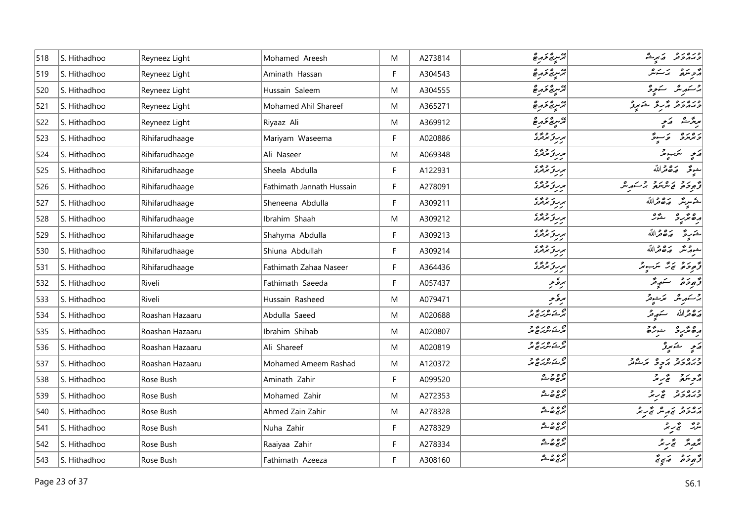| 518 | S. Hithadhoo | Reyneez Light   | Mohamed Areesh            | M         | A273814 | ئۇسرىج ئۇرغ                           | ورەرو كەيدە                         |
|-----|--------------|-----------------|---------------------------|-----------|---------|---------------------------------------|-------------------------------------|
| 519 | S. Hithadhoo | Reyneez Light   | Aminath Hassan            | F         | A304543 | ئۇسرىج ئۇرغ                           | مەم ئەسكە ئەسكەنلەر                 |
| 520 | S. Hithadhoo | Reyneez Light   | Hussain Saleem            | M         | A304555 | ئۇسرىج ئۇرغ                           | چە يەشر سەر ئەر                     |
| 521 | S. Hithadhoo | Reyneez Light   | Mohamed Ahil Shareef      | M         | A365271 | ىمەس <sub>ى</sub> غ خەرقى             | ورورو ورو خهرو                      |
| 522 | S. Hithadhoo | Reyneez Light   | Riyaaz Ali                | ${\sf M}$ | A369912 | ئۇسرىج ئۇرغ                           | برېژنش کړم                          |
| 523 | S. Hithadhoo | Rihifarudhaage  | Mariyam Waseema           | F         | A020886 | ابىرىر قەم قەم قايتى<br>سىرىر ئىرتىرى | ويرود وسوو                          |
| 524 | S. Hithadhoo | Rihifarudhaage  | Ali Naseer                | ${\sf M}$ | A069348 | ابرر و برود <del>.</del><br>مر        | أوسمع التكريبية                     |
| 525 | S. Hithadhoo | Rihifarudhaage  | Sheela Abdulla            | F         | A122931 | ىرىر تۈرۈپ                            | حوقر كركه قرالله                    |
| 526 | S. Hithadhoo | Rihifarudhaage  | Fathimath Jannath Hussain | F         | A278091 | <br> مرسر و مرتزر =<br> -             | و و د و د و د د و د کرمر            |
| 527 | S. Hithadhoo | Rihifarudhaage  | Sheneena Abdulla          | F         | A309211 | <br> بربر و برقری                     | ڪس <i>ينگر من</i> صرالله            |
| 528 | S. Hithadhoo | Rihifarudhaage  | Ibrahim Shaah             | M         | A309212 | ابرر د بروی<br><u>بر</u> ر            | رەپر پەر                            |
| 529 | S. Hithadhoo | Rihifarudhaage  | Shahyma Abdulla           | F         | A309213 | ابرر و بروي <del>.</del><br>پ         | شَمَ <i>رٍدُّ مَ</i> صُمَّرَاللَّهُ |
| 530 | S. Hithadhoo | Rihifarudhaage  | Shiuna Abdullah           | F         | A309214 | ىرىر ئەسىر تەرى<br>بەير ئ             | خورشر كرك قرالله                    |
| 531 | S. Hithadhoo | Rihifarudhaage  | Fathimath Zahaa Naseer    | F         | A364436 | ابرر و بروي<br><u>پ</u>               | توموخو برئز لترسونر                 |
| 532 | S. Hithadhoo | Riveli          | Fathimath Saeeda          | F         | A057437 | برۂعر                                 | ۇۋۇۋە سەرتۇ                         |
| 533 | S. Hithadhoo | Riveli          | Hussain Rasheed           | ${\sf M}$ | A079471 | برءً و                                | جر سکھر مگر سر کر کے برائش تر       |
| 534 | S. Hithadhoo | Roashan Hazaaru | Abdulla Saeed             | M         | A020688 | ص در ۱۵ رپور<br>مرڪبرگريم مر          | رەقمەللە سىھەتر                     |
| 535 | S. Hithadhoo | Roashan Hazaaru | Ibrahim Shihab            | M         | A020807 | ە بەر ەر ب <sub>ەر ج</sub>            | رەنگرى شرگە                         |
| 536 | S. Hithadhoo | Roashan Hazaaru | Ali Shareef               | ${\sf M}$ | A020819 | ە يە يەر بەر<br>ئىرىشەنلەرىج ئىر      | ړې خېږو                             |
| 537 | S. Hithadhoo | Roashan Hazaaru | Mohamed Ameem Rashad      | M         | A120372 | م دیکھ دیا جا<br>مرڪبار رکن مر        | ورەر د در و برخ د                   |
| 538 | S. Hithadhoo | Rose Bush       | Aminath Zahir             | F         | A099520 | ە ە د ە<br>ترىخ ھەشە                  | أأدجن أأدبن                         |
| 539 | S. Hithadhoo | Rose Bush       | Mohamed Zahir             | M         | A272353 | ە ە جەمئە<br>مرىخ ھەشە                | ورەرو ئەرى                          |
| 540 | S. Hithadhoo | Rose Bush       | Ahmed Zain Zahir          | ${\sf M}$ | A278328 | ە ە جەمئە<br>مرىخ ھەشە                | גפגב המייש היו                      |
| 541 | S. Hithadhoo | Rose Bush       | Nuha Zahir                | F         | A278329 | ە ە ج <sub>ە</sub> ھ                  | المرجم المحمد المجموعة.<br>المسرجم  |
| 542 | S. Hithadhoo | Rose Bush       | Raaiyaa Zahir             | F         | A278334 | ە ە دې<br>تىرى ھ                      | بترمرشر<br>ىچ سرىتىر                |
| 543 | S. Hithadhoo | Rose Bush       | Fathimath Azeeza          | F         | A308160 | ص ح ح شر<br>  <del>مر</del> يح ھ شر   | وٌجوحَعُ صَبِيَّ                    |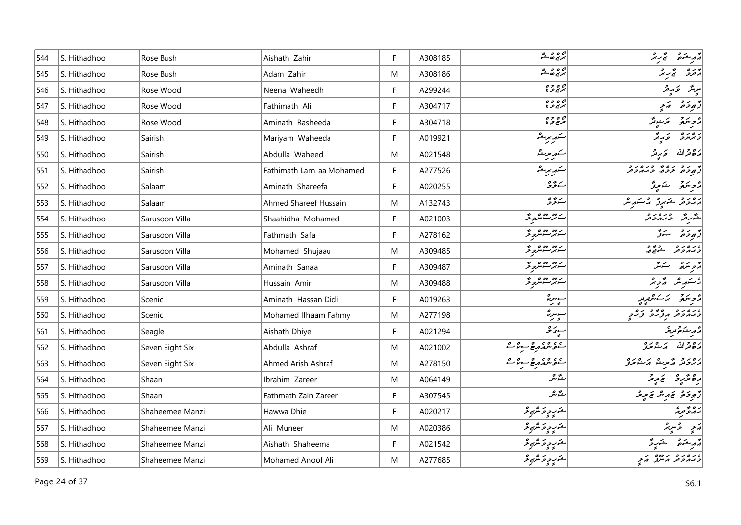| 544 | S. Hithadhoo | Rose Bush        | Aishath Zahir            | F         | A308185 | ە ە جەمئە<br>مرىخ ھەشە      | $\frac{2}{3}$ $\frac{2}{3}$ $\frac{2}{3}$        |
|-----|--------------|------------------|--------------------------|-----------|---------|-----------------------------|--------------------------------------------------|
| 545 | S. Hithadhoo | Rose Bush        | Adam Zahir               | M         | A308186 | ە ە دې<br>ترىخ ھ            | په ره<br>د ترو                                   |
| 546 | S. Hithadhoo | Rose Wood        | Neena Waheedh            | F         | A299244 | ص و و ه<br>ترېبح و ع        | سرینگ کو ہے تھ                                   |
| 547 | S. Hithadhoo | Rose Wood        | Fathimath Ali            | F         | A304717 | م ه و ه<br>ترېخ و و         | 5, 5, 5<br>ەكىپىيە                               |
| 548 | S. Hithadhoo | Rose Wood        | Aminath Rasheeda         | F         | A304718 | م ه د ه<br>مربح و د         | پ <sup>و</sup> پر مرد<br>مر<br>ىمەھىيەتىگە<br>ئە |
| 549 | S. Hithadhoo | Sairish          | Mariyam Waheeda          | F         | A019921 | سەر بىرىشە<br>مەمر          | ر ه ر ه<br><del>و</del> بربرو<br>ءَ پرتگر        |
| 550 | S. Hithadhoo | Sairish          | Abdulla Waheed           | M         | A021548 | سەر بىرىشە<br>س             | أرة محمدالله عربر فمر                            |
| 551 | S. Hithadhoo | Sairish          | Fathimath Lam-aa Mohamed | F         | A277526 | سەر بىرىشە<br>س             | ء رد ره د دره رد<br>ژبووه نروه د رمدر            |
| 552 | S. Hithadhoo | Salaam           | Aminath Shareefa         | F         | A020255 | ىر پە ە                     | أأترسكم المستبرقر                                |
| 553 | S. Hithadhoo | Salaam           | Ahmed Shareef Hussain    | M         | A132743 | سەۋە                        | גەر ئەيرو باسەر                                  |
| 554 | S. Hithadhoo | Sarusoon Villa   | Shaahidha Mohamed        | F         | A021003 | ر دو دو ه<br>سونر سومبرو څ  | أشوره وره دو                                     |
| 555 | S. Hithadhoo | Sarusoon Villa   | Fathmath Safa            | F         | A278162 | رىزدە دەھ <sub>ىر</sub> ئە  | ۇچ <sub>و</sub> چۇ بىز                           |
| 556 | S. Hithadhoo | Sarusoon Villa   | Mohamed Shujaau          | M         | A309485 | رىزدە مەھ <sub>رى</sub> مۇ  | وره ر و د و و<br>تربر بر د سوخ پر                |
| 557 | S. Hithadhoo | Sarusoon Villa   | Aminath Sanaa            | F         | A309487 | ر دو ده ه ه مخ              | ړې سرچه سند شک                                   |
| 558 | S. Hithadhoo | Sarusoon Villa   | Hussain Amir             | M         | A309488 | ر دو دوه ه<br>په ترسه مرد څ | رحمد شهر مدارند.<br>مستقيم مدارند                |
| 559 | S. Hithadhoo | Scenic           | Aminath Hassan Didi      | F         | A019263 | ۔<br>په سر                  | و ده که کارورو .<br>مرح مسلم                     |
| 560 | S. Hithadhoo | Scenic           | Mohamed Ifhaam Fahmy     | M         | A277198 | سوسر پر<br>پر               | ورەرد مۆركە تەرەپ                                |
| 561 | S. Hithadhoo | Seagle           | Aishath Dhiye            | F         | A021294 | سەنچە بىر<br>ئە             | وگەرىشكە قىروگر<br>م                             |
| 562 | S. Hithadhoo | Seven Eight Six  | Abdulla Ashraf           | M         | A021002 |                             | رە قراللە كەشىر                                  |
| 563 | S. Hithadhoo | Seven Eight Six  | Ahmed Arish Ashraf       | M         | A278150 |                             | رەرد گەرگ كەشىر                                  |
| 564 | S. Hithadhoo | Shaan            | Ibrahim Zareer           | M         | A064149 | ىشەشر                       | رە ئەر ئىسىم                                     |
| 565 | S. Hithadhoo | Shaan            | Fathmath Zain Zareer     | F         | A307545 | شَرْسْ                      |                                                  |
| 566 | S. Hithadhoo | Shaheemee Manzil | Hawwa Dhie               | F         | A020217 | ىشەر بەر ئەنگىرى<br>ئ       | ره و دره<br>برو درو                              |
| 567 | S. Hithadhoo | Shaheemee Manzil | Ali Muneer               | M         | A020386 | ىشەر بەر ئەنگىرى<br>ئىسىم   | رياس تي تاريخ<br>ديگر سي تاريخ<br>دي تاريخ شاريخ |
| 568 | S. Hithadhoo | Shaheemee Manzil | Aishath Shaheema         | F         | A021542 | ىش <i>ر چە</i> ئەھمى ئى     |                                                  |
| 569 | S. Hithadhoo | Shaheemee Manzil | Mohamed Anoof Ali        | ${\sf M}$ | A277685 | ىش <i>ر چې</i> ئەرىپو ئى    | وره رو روده<br>د برارونر ارس                     |
|     |              |                  |                          |           |         |                             |                                                  |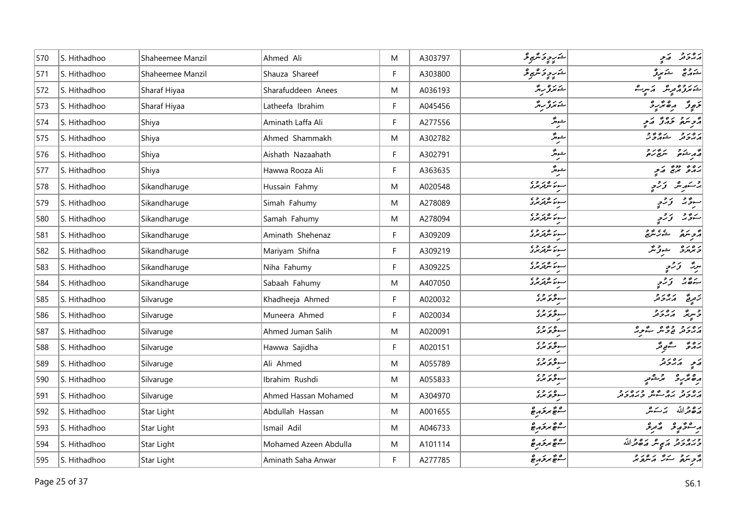| 570 | S. Hithadhoo | Shaheemee Manzil  | Ahmed Ali             | M  | A303797 | ڪ پير پير تر شر <sub>ي</sub> تر     | أرور و مر                                                                       |
|-----|--------------|-------------------|-----------------------|----|---------|-------------------------------------|---------------------------------------------------------------------------------|
| 571 | S. Hithadhoo | Shaheemee Manzil  | Shauza Shareef        | F  | A303800 | ئەر <sub>ىرى</sub> ئەھمى ئى         | $\begin{array}{cc} \circ & \circ \\ \circ & \circ \\ \circ & \circ \end{array}$ |
| 572 | S. Hithadhoo | Sharaf Hiyaa      | Sharafuddeen Anees    | M  | A036193 | ے برو پر پڑ                         | در دور در مسرت<br>شوبرزور مسرت                                                  |
| 573 | S. Hithadhoo | Sharaf Hiyaa      | Latheefa Ibrahim      | F  | A045456 | شەئىرى <i>ۋىر</i> ىتر               | خوق مەممىر                                                                      |
| 574 | S. Hithadhoo | Shiya             | Aminath Laffa Ali     | F  | A277556 | شوائر<br>مر                         | أأوسمي بحمائي أأبر                                                              |
| 575 | S. Hithadhoo | Shiya             | Ahmed Shammakh        | M  | A302782 | شەدگر                               | رەر دەپ                                                                         |
| 576 | S. Hithadhoo | Shiya             | Aishath Nazaahath     | F  | A302791 | شەدگر                               | أقرم شكوم الترجر و                                                              |
| 577 | S. Hithadhoo | Shiya             | Hawwa Rooza Ali       | F  | A363635 | شەدگر                               | ره و دوم کرم                                                                    |
| 578 | S. Hithadhoo | Sikandharuge      | Hussain Fahmy         | M  | A020548 | ر در در در<br>سور سرچر <sub>ی</sub> | جريئة مرسم المرسمة<br> -<br>  جريئة مرسم المرسم المرسم                          |
| 579 | S. Hithadhoo | Sikandharuge      | Simah Fahumy          | M  | A278089 | سەر ئەر دە<br>ب                     | سودير أورمي                                                                     |
| 580 | S. Hithadhoo | Sikandharuge      | Samah Fahumy          | M  | A278094 | سەر دىر دى<br>سور سرچرىرى           | يەنىق ئۇرىي                                                                     |
| 581 | S. Hithadhoo | Sikandharuge      | Aminath Shehenaz      | F  | A309209 | سەر ئەرىرى                          | شەر ئەر<br>أروبتهم                                                              |
| 582 | S. Hithadhoo | Sikandharuge      | Mariyam Shifna        | F  | A309219 | سەر ھەر ج <sup>ى</sup><br>س         | رەرە ھۆش                                                                        |
| 583 | S. Hithadhoo | Sikandharuge      | Niha Fahumy           | F  | A309225 | سەر ھەر جە<br>س                     | سربح ترترحي                                                                     |
| 584 | S. Hithadhoo | Sikandharuge      | Sabaah Fahumy         | M  | A407050 | – مەكتەپىرىدى<br>— مەكتەپىرى        | يەنھەت تۇرقىي                                                                   |
| 585 | S. Hithadhoo | Silvaruge         | Khadheeja Ahmed       | F  | A020032 | سەنۇھ بىرى                          | كزمريح كمكرومر                                                                  |
| 586 | S. Hithadhoo | Silvaruge         | Muneera Ahmed         | F. | A020034 | سوې د د ،                           | د سرپر پر در د                                                                  |
| 587 | S. Hithadhoo | Silvaruge         | Ahmed Juman Salih     | M  | A020091 | سوڅر تر د ،                         | ره د د و وه ه د محمد به د                                                       |
| 588 | S. Hithadhoo | Silvaruge         | Hawwa Sajidha         | F. | A020151 | سوڅر تر د ،                         | رە بە ئەيەتر                                                                    |
| 589 | S. Hithadhoo | Silvaruge         | Ali Ahmed             | M  | A055789 | ہ د د ء<br>سەنوھ بوي                | أقدم المردور                                                                    |
| 590 | S. Hithadhoo | Silvaruge         | Ibrahim Rushdi        | M  | A055833 | سوڅر د و ،                          | رەنزىر ترشور                                                                    |
| 591 | S. Hithadhoo | Silvaruge         | Ahmed Hassan Mohamed  | M  | A304970 | ے بحری ہو ہے<br>سوفر ہو ت           | ره رو ره مه ه دره رو<br>پرسرفر برپرسش وبربروتر                                  |
| 592 | S. Hithadhoo | Star Light        | Abdullah Hassan       | M  | A001655 | <u>شوءَ برمزمر ه</u>                | مَدْ قَدْاللّه بَرْ سَوْسْر                                                     |
| 593 | S. Hithadhoo | <b>Star Light</b> | Ismail Adil           | M  | A046733 | شۇ ئىر خىر ھ                        | رىشۇر قەر                                                                       |
| 594 | S. Hithadhoo | Star Light        | Mohamed Azeen Abdulla | M  | A101114 | 2 <sub>غ</sub> بر <i>خ</i> رج       | ورورو كم يده كان الله                                                           |
| 595 | S. Hithadhoo | <b>Star Light</b> | Aminath Saha Anwar    | F  | A277785 | ر<br>سرچ بر <i>خ</i> رم ه           | أترجم المستريح المراجع المراجع                                                  |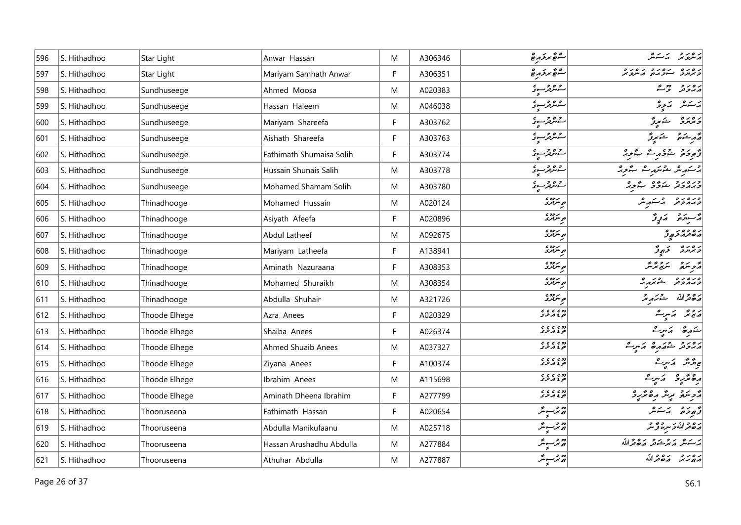| 596 | S. Hithadhoo | <b>Star Light</b> | Anwar Hassan              | M  | A306346 | <u>شوءَ برمَروء</u>             | رەرد برىك                                             |
|-----|--------------|-------------------|---------------------------|----|---------|---------------------------------|-------------------------------------------------------|
| 597 | S. Hithadhoo | <b>Star Light</b> | Mariyam Samhath Anwar     | F. | A306351 | <u>شوءَ برخ برءَ</u>            | ניסים ניסיד ניסיד<br>בינו <i>ניב – בינים</i> וניונטיב |
| 598 | S. Hithadhoo | Sundhuseege       | Ahmed Moosa               | M  | A020383 | 2 مۇبۇرسو <sup>ي</sup>          | ړه د دي.                                              |
| 599 | S. Hithadhoo | Sundhuseege       | Hassan Haleem             | M  | A046038 | 2 مۇبۇرىيە <sup>ي</sup>         | ىزىكەش ئەبرۇ                                          |
| 600 | S. Hithadhoo | Sundhuseege       | Mariyam Shareefa          | F  | A303762 | ر<br>سەنگەنگەر سون <sup>ى</sup> | شەمرۇگ<br>ر ه ر ه<br><del>د</del> بربرگر              |
| 601 | S. Hithadhoo | Sundhuseege       | Aishath Shareefa          | F  | A303763 | شەھە <i>ر بە</i> ر              | دُوڪو ڪيوڙ                                            |
| 602 | S. Hithadhoo | Sundhuseege       | Fathimath Shumaisa Solih  | F. | A303774 | شەھەر سەرى<br>ئ                 | ژ <sub>و</sub> ده شده شهر                             |
| 603 | S. Hithadhoo | Sundhuseege       | Hussain Shunais Salih     | M  | A303778 | شەھەر سەرى<br>ئ                 | بزسكر مكر مقاسكر مستجربه                              |
| 604 | S. Hithadhoo | Sundhuseege       | Mohamed Shamam Solih      | M  | A303780 | _<br>سەنگەنگەرىسى<br>س          | ورەر د روە ئېرو                                       |
| 605 | S. Hithadhoo | Thinadhooge       | Mohamed Hussain           | M  | A020124 | ر دو :<br>ه سرگری               | ورەرو ورىدىگ                                          |
| 606 | S. Hithadhoo | Thinadhooge       | Asiyath Afeefa            | F. | A020896 | پر دو ۽<br>جي سرگري             | أثر سورة الأبارق                                      |
| 607 | S. Hithadhoo | Thinadhooge       | Abdul Latheef             | M  | A092675 | بر دو ۽<br>حو سرقري             | ره وه ره<br>ماه مرد څېړنې                             |
| 608 | S. Hithadhoo | Thinadhooge       | Mariyam Latheefa          | F  | A138941 | بر دو ۽<br>حو سرقري             | رەرە كەچ                                              |
| 609 | S. Hithadhoo | Thinadhooge       | Aminath Nazuraana         | F  | A308353 | <br> حو سرقری                   | محر شرق المتعاملة                                     |
| 610 | S. Hithadhoo | Thinadhooge       | Mohamed Shuraikh          | M  | A308354 | پر دو ء<br>جي سرگري             | ورەرو شەيرەر<br>جەمەدىر شەيرەر                        |
| 611 | S. Hithadhoo | Thinadhooge       | Abdulla Shuhair           | M  | A321726 | <br> موسرتری                    | رە قەللە ھەتەرىتە                                     |
| 612 | S. Hithadhoo | Thoode Elhege     | Azra Anees                | F  | A020329 | دد د د د د د<br>ح د د مر د      | ەسىم مەسرى                                            |
| 613 | S. Hithadhoo | Thoode Elhege     | Shaiba Anees              | F. | A026374 | دد د د د د<br>ح د مر د د        | أخترة أرسرت                                           |
| 614 | S. Hithadhoo | Thoode Elhege     | <b>Ahmed Shuaib Anees</b> | M  | A037327 | دد د د د د<br>ح ع در مر د       | גפנק בתגם גיקר                                        |
| 615 | S. Hithadhoo | Thoode Elhege     | Ziyana Anees              | F  | A100374 | دو د د د د<br>  هر د د د د      | ىم ئۇنىڭرا ئەكىرىك                                    |
| 616 | S. Hithadhoo | Thoode Elhege     | Ibrahim Anees             | M  | A115698 | دد د د د د د<br>ح د د مر د      | رەترىر ئىر                                            |
| 617 | S. Hithadhoo | Thoode Elhege     | Aminath Dheena Ibrahim    | F  | A277799 | دو د د د د<br>  حو ۱۵ هر د      | أدويني وبتر وه برد                                    |
| 618 | S. Hithadhoo | Thooruseena       | Fathimath Hassan          | F  | A020654 | <i>?چم</i> ر پیمر<br>           | و ده پر شهر                                           |
| 619 | S. Hithadhoo | Thooruseena       | Abdulla Manikufaanu       | M  | A025718 | دد د<br>عولم سوستر              | رَ صَعْرَ اللَّهُ حَـٰ سِرِيرٌ مِّنَ سَرَ             |
| 620 | S. Hithadhoo | Thooruseena       | Hassan Arushadhu Abdulla  | M  | A277884 | دد د<br>جو مر سومتر             | برے مر بر دیے بر دیگرالله                             |
| 621 | S. Hithadhoo | Thooruseena       | Athuhar Abdulla           | M  | A277887 | دد چ <sub>رىسى</sub> پىگە       | برەرد پرە دالله                                       |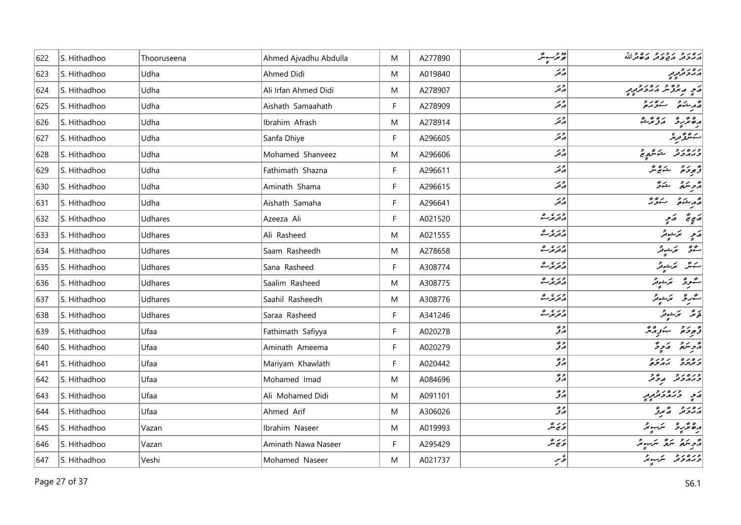| 622 | S. Hithadhoo | Thooruseena    | Ahmed Ajvadhu Abdulla | M         | A277890 | پۇ ئەسىيە ئىگە<br>   | ره ر د د ر د د د ه د الله                                                                                                                                                                                                                                                                                                                                                                                                                                                                                                                                                             |
|-----|--------------|----------------|-----------------------|-----------|---------|----------------------|---------------------------------------------------------------------------------------------------------------------------------------------------------------------------------------------------------------------------------------------------------------------------------------------------------------------------------------------------------------------------------------------------------------------------------------------------------------------------------------------------------------------------------------------------------------------------------------|
| 623 | S. Hithadhoo | Udha           | <b>Ahmed Didi</b>     | M         | A019840 | ەرىر                 | ر ەر دىرىر<br>مەر تىرىرىر                                                                                                                                                                                                                                                                                                                                                                                                                                                                                                                                                             |
| 624 | S. Hithadhoo | Udha           | Ali Irfan Ahmed Didi  | ${\sf M}$ | A278907 | پر تئر               | .<br>ג'ין הַילְצְייל ג'יליטיק                                                                                                                                                                                                                                                                                                                                                                                                                                                                                                                                                         |
| 625 | S. Hithadhoo | Udha           | Aishath Samaahath     | F         | A278909 | ەرىر                 |                                                                                                                                                                                                                                                                                                                                                                                                                                                                                                                                                                                       |
| 626 | S. Hithadhoo | Udha           | Ibrahim Afrash        | ${\sf M}$ | A278914 | پر تھر               | رەپرىرە بەرىمى                                                                                                                                                                                                                                                                                                                                                                                                                                                                                                                                                                        |
| 627 | S. Hithadhoo | Udha           | Sanfa Dhiye           | F         | A296605 | پر تئر               | ر عبد دار می<br>سنگر معمد مر                                                                                                                                                                                                                                                                                                                                                                                                                                                                                                                                                          |
| 628 | S. Hithadhoo | Udha           | Mohamed Shanveez      | M         | A296606 | پر تھر               | <i>ورەر دە</i> ئەشھەم                                                                                                                                                                                                                                                                                                                                                                                                                                                                                                                                                                 |
| 629 | S. Hithadhoo | Udha           | Fathimath Shazna      | F         | A296611 | برتر                 | توجوحتم سنوج مكر                                                                                                                                                                                                                                                                                                                                                                                                                                                                                                                                                                      |
| 630 | S. Hithadhoo | Udha           | Aminath Shama         | F         | A296615 | پر تھر               | أأدم سأوشح                                                                                                                                                                                                                                                                                                                                                                                                                                                                                                                                                                            |
| 631 | S. Hithadhoo | Udha           | Aishath Samaha        | F         | A296641 | پر تھر               | وكرمشكم المتحدث                                                                                                                                                                                                                                                                                                                                                                                                                                                                                                                                                                       |
| 632 | S. Hithadhoo | Udhares        | Azeeza Ali            | F         | A021520 | ە ئەرىئە ھ           | ړې ته ت                                                                                                                                                                                                                                                                                                                                                                                                                                                                                                                                                                               |
| 633 | S. Hithadhoo | Udhares        | Ali Rasheed           | ${\sf M}$ | A021555 | د ر ، م<br>مرمر ک    |                                                                                                                                                                                                                                                                                                                                                                                                                                                                                                                                                                                       |
| 634 | S. Hithadhoo | Udhares        | Saam Rasheedh         | ${\sf M}$ | A278658 | ە ئەرىئە ھ           | ړنې د مرشونه<br>د نو د مرشونه<br>سوی د مرشونه                                                                                                                                                                                                                                                                                                                                                                                                                                                                                                                                         |
| 635 | S. Hithadhoo | Udhares        | Sana Rasheed          | F         | A308774 | د ر ، م<br>مرمر ک    | $\begin{array}{cc} \overbrace{\phantom{\vdots}}^2 & \overbrace{\phantom{\vdots}}^2 & \overbrace{\phantom{\vdots}}^2 & \overbrace{\phantom{\vdots}}^2 & \overbrace{\phantom{\vdots}}^2 & \overbrace{\phantom{\vdots}}^2 & \overbrace{\phantom{\vdots}}^2 & \overbrace{\phantom{\vdots}}^2 & \overbrace{\phantom{\vdots}}^2 & \overbrace{\phantom{\vdots}}^2 & \overbrace{\phantom{\vdots}}^2 & \overbrace{\phantom{\vdots}}^2 & \overbrace{\phantom{\vdots}}^2 & \overbrace{\phantom{\vdots}}^2 & \overbrace{\phantom{\vdots}}^2 & \overbrace{\phantom{\vdots}}^2 & \overbrace{\phant$ |
| 636 | S. Hithadhoo | Udhares        | Saalim Rasheed        | M         | A308775 | د ر ، م<br>مرمر ک    | الشروري المركب المركب المركب<br>المستشرور                                                                                                                                                                                                                                                                                                                                                                                                                                                                                                                                             |
| 637 | S. Hithadhoo | <b>Udhares</b> | Saahil Rasheedh       | ${\sf M}$ | A308776 | ە ئەرىئە ھ           | ر مگر فران میگردید.<br>مگر فران مگر مگر مگر می<br>اهر مگر مگر مگر مگر مگر می                                                                                                                                                                                                                                                                                                                                                                                                                                                                                                          |
| 638 | S. Hithadhoo | Udhares        | Saraa Rasheed         | F         | A341246 | ەزىر ئە              |                                                                                                                                                                                                                                                                                                                                                                                                                                                                                                                                                                                       |
| 639 | S. Hithadhoo | Ufaa           | Fathimath Safiyya     | F         | A020278 | دوسي                 | و دو ب                                                                                                                                                                                                                                                                                                                                                                                                                                                                                                                                                                                |
| 640 | S. Hithadhoo | Ufaa           | Aminath Ameema        | F         | A020279 | پەيتى                | أأروسكم أأأروخ                                                                                                                                                                                                                                                                                                                                                                                                                                                                                                                                                                        |
| 641 | S. Hithadhoo | Ufaa           | Mariyam Khawlath      | F         | A020442 | دوسي                 | برديرد<br>ر ه ر ه<br><del>ر</del> بربرو                                                                                                                                                                                                                                                                                                                                                                                                                                                                                                                                               |
| 642 | S. Hithadhoo | Ufaa           | Mohamed Imad          | M         | A084696 | اردى                 | כממכת הכת                                                                                                                                                                                                                                                                                                                                                                                                                                                                                                                                                                             |
| 643 | S. Hithadhoo | Ufaa           | Ali Mohamed Didi      | M         | A091101 | پرس                  | د د د د د و د و د د د د د د                                                                                                                                                                                                                                                                                                                                                                                                                                                                                                                                                           |
| 644 | S. Hithadhoo | Ufaa           | Ahmed Arif            | M         | A306026 | پرمخ                 | رەرد ئەبرى                                                                                                                                                                                                                                                                                                                                                                                                                                                                                                                                                                            |
| 645 | S. Hithadhoo | Vazan          | Ibrahim Naseer        | M         | A019993 | ر رچ<br>حري مګر      | أرە ئۇرۇ سىبوتم                                                                                                                                                                                                                                                                                                                                                                                                                                                                                                                                                                       |
| 646 | S. Hithadhoo | Vazan          | Aminath Nawa Naseer   | F         | A295429 | ىر بە ھ<br>ھ بىچ مىش | أأروسي الله المستور                                                                                                                                                                                                                                                                                                                                                                                                                                                                                                                                                                   |
| 647 | S. Hithadhoo | Veshi          | Mohamed Naseer        | M         | A021737 | ءَ مر                | ورەرو كرىيەتى                                                                                                                                                                                                                                                                                                                                                                                                                                                                                                                                                                         |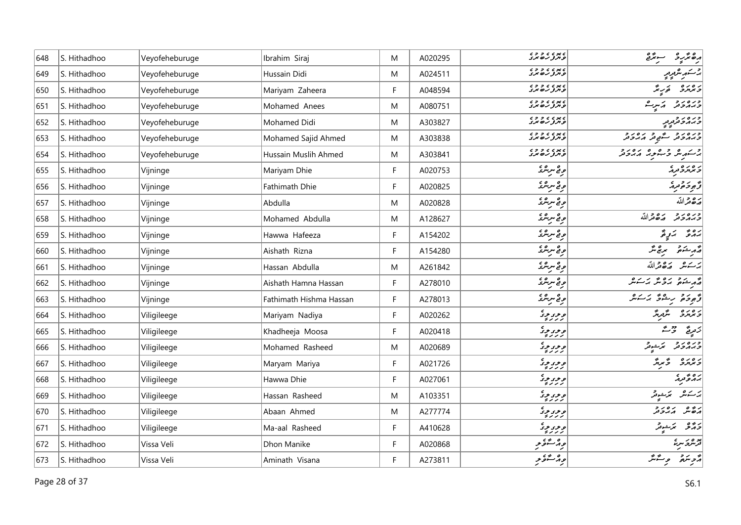| 648 | S. Hithadhoo | Veyofeheburuge | Ibrahim Siraj           | M         | A020295 | ړ پر ړ د د د<br>و <del>م</del> رنو <i>ر ه بر</i> ي       | رە ئۆر ئەسىر                                        |
|-----|--------------|----------------|-------------------------|-----------|---------|----------------------------------------------------------|-----------------------------------------------------|
| 649 | S. Hithadhoo | Veyofeheburuge | Hussain Didi            | M         | A024511 | ړ پر ړ ږ د ر<br>و <del>ه</del> رنو مرنۍ پور              | پر سے مرحور میں                                     |
| 650 | S. Hithadhoo | Veyofeheburuge | Mariyam Zaheera         | F         | A048594 | ړ پر ړ د د د<br>و <del>ه</del> رنو بر ت                  | وبودو<br>ځوړنځه                                     |
| 651 | S. Hithadhoo | Veyofeheburuge | Mohamed Anees           | M         | A080751 | ړ پر ړ ږ و ړ<br>و <del>ه</del> رنو بر حو بر <sub>ک</sub> | و ر ه ر د<br>تر پر ژ تر<br>ەئەبىرىشە                |
| 652 | S. Hithadhoo | Veyofeheburuge | Mohamed Didi            | M         | A303827 | ړ پر ړ د د د<br>و <del>م</del> رنو <i>ر ه بر</i> ي       |                                                     |
| 653 | S. Hithadhoo | Veyofeheburuge | Mohamed Sajid Ahmed     | M         | A303838 | ړ پر ړ د د د<br>و <del>ه</del> رنو بر ت                  | وره د د د د د د د د د<br>و پر دو تر گوتر از پر د تر |
| 654 | S. Hithadhoo | Veyofeheburuge | Hussain Muslih Ahmed    | M         | A303841 | ړ پر ړ پر د د پر<br>تو <del>درنو</del> رحمه <i>پو</i> ر  | يمسكر عراقه والمتحدثة                               |
| 655 | S. Hithadhoo | Vijninge       | Mariyam Dhie            | F         | A020753 | و قح مرشو <sup>ء</sup><br>مر                             | ז פיק פיקה<br>בי <i>ת</i> ו <i>ת ב</i> יקה          |
| 656 | S. Hithadhoo | Vijninge       | Fathimath Dhie          | F         | A020825 | وقح سرسرى                                                | و گه <sub>ج</sub> چر چود پر                         |
| 657 | S. Hithadhoo | Vijninge       | Abdulla                 | M         | A020828 | <sub>حو</sub> قے <sub>مر</sub> شری                       | مەھىراللە                                           |
| 658 | S. Hithadhoo | Vijninge       | Mohamed Abdulla         | M         | A128627 | <sub>حو</sub> قے <sub>مر</sub> ینز کی                    | وره رو ده دالله                                     |
| 659 | S. Hithadhoo | Vijninge       | Hawwa Hafeeza           | F         | A154202 | وقح سرىندى                                               | پَرُونٌ بَرَوٍ مُحْ                                 |
| 660 | S. Hithadhoo | Vijninge       | Aishath Rizna           | F         | A154280 | وقح سرسرى                                                | ۇرمىئو برقىتر                                       |
| 661 | S. Hithadhoo | Vijninge       | Hassan Abdulla          | ${\sf M}$ | A261842 | <sub>حو</sub> قے <sub>مر</sub> شری                       | ترسك مكافي الله                                     |
| 662 | S. Hithadhoo | Vijninge       | Aishath Hamna Hassan    | F         | A278010 | <sub>حو</sub> قے <sub>سر</sub> ینز کے                    | ەر خوم بروش بر خش                                   |
| 663 | S. Hithadhoo | Vijninge       | Fathimath Hishma Hassan | F         | A278013 | و قح سر مرتد<br>ر                                        | ۋۈدۈ رىشۇ ئەسەر                                     |
| 664 | S. Hithadhoo | Viligileege    | Mariyam Nadiya          | F         | A020262 | ا و و د و د ؟<br>د د د د ؟                               | د ۵ ر ۵ شرور محمد شر                                |
| 665 | S. Hithadhoo | Viligileege    | Khadheeja Moosa         | F         | A020418 | و و د و د<br>ر ر ر و                                     | زَىرِيَّ رَّ"ــَّہُ                                 |
| 666 | S. Hithadhoo | Viligileege    | Mohamed Rasheed         | M         | A020689 | و و د و د<br>ر ر ر و                                     | ورەرو كەشەر                                         |
| 667 | S. Hithadhoo | Viligileege    | Maryam Mariya           | F         | A021726 | ه ور و د کا                                              | ر ه ر ه<br><del>و</del> بربرو<br>وٌ بردگر           |
| 668 | S. Hithadhoo | Viligileege    | Hawwa Dhie              | F         | A027061 | ا و و د و د<br>د د د د د                                 | بروء مرتم                                           |
| 669 | S. Hithadhoo | Viligileege    | Hassan Rasheed          | ${\sf M}$ | A103351 | ه و د و د <sup>ه</sup><br>ر ر ر د                        | <br> پرسکس مرسومر                                   |
| 670 | S. Hithadhoo | Viligileege    | Abaan Ahmed             | ${\sf M}$ | A277774 | ا و و د و د<br><u>د د د و</u> د                          | رەپ رەرد                                            |
| 671 | S. Hithadhoo | Viligileege    | Ma-aal Rasheed          | F         | A410628 | ه ور و د کا                                              | د ۶ ه کار د د                                       |
| 672 | S. Hithadhoo | Vissa Veli     | Dhon Manike             | F         | A020868 | ا <sub>ع</sub> وړ شوېد                                   | پر ور ر<br>تر سر پر سر ر                            |
| 673 | S. Hithadhoo | Vissa Veli     | Aminath Visana          | F         | A273811 | اودعيمو                                                  | قريرة وشتر                                          |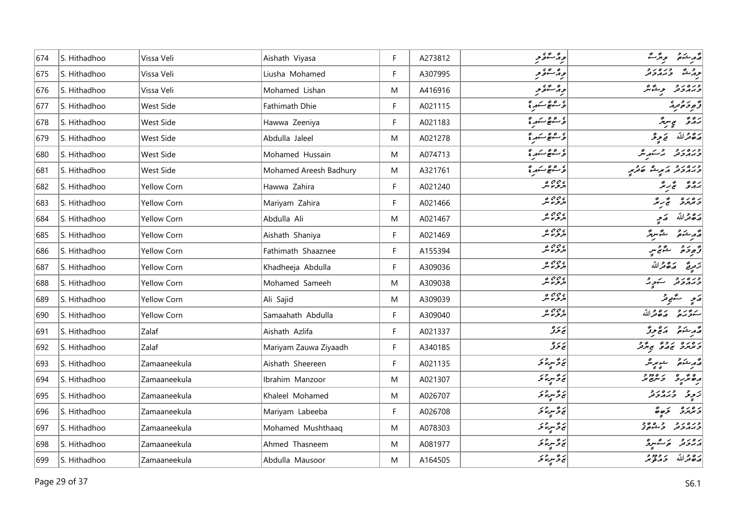| 674 | S. Hithadhoo | Vissa Veli         | Aishath Viyasa         | F           | A273812 | <br>وره شوېر                                | و مشهور و در د                                    |
|-----|--------------|--------------------|------------------------|-------------|---------|---------------------------------------------|---------------------------------------------------|
| 675 | S. Hithadhoo | Vissa Veli         | Liusha Mohamed         | F           | A307995 | ودمشفر                                      | ورحمد وره دو                                      |
| 676 | S. Hithadhoo | Vissa Veli         | Mohamed Lishan         | M           | A416916 | ودمشفر                                      | ورەرو وڭر                                         |
| 677 | S. Hithadhoo | West Side          | Fathimath Dhie         | F           | A021115 | $\frac{1}{2}$                               | ۇ بوچۇم <sub>ۇ</sub> مۇ                           |
| 678 | S. Hithadhoo | West Side          | Hawwa Zeeniya          | $\mathsf F$ | A021183 | ې موه شه دې<br>مربحه شهره                   | بروة بمسر                                         |
| 679 | S. Hithadhoo | West Side          | Abdulla Jaleel         | ${\sf M}$   | A021278 | ې موه شوې <sub>ر</sub> ه                    | أَصَدَهُ اللَّهُ فَيَحْدِثُ                       |
| 680 | S. Hithadhoo | West Side          | Mohamed Hussain        | M           | A074713 | $\frac{1}{2}$                               | כנסני גליותיות                                    |
| 681 | S. Hithadhoo | West Side          | Mohamed Areesh Badhury | ${\sf M}$   | A321761 | ع ص <sub>فا</sub> ع سکور ۽                  | ورەرو رىرىش ھۆرىر                                 |
| 682 | S. Hithadhoo | Yellow Corn        | Hawwa Zahira           | F           | A021240 | ، م م م<br>مرمر مگر                         | برەۋ ئې پر                                        |
| 683 | S. Hithadhoo | Yellow Corn        | Mariyam Zahira         | $\mathsf F$ | A021466 | ەم 2 مەھ<br>مەمۇرىيە                        | پر ه پر ه<br>  <del>پر بر پ</del> ر<br>ىتى سەتتىر |
| 684 | S. Hithadhoo | <b>Yellow Corn</b> | Abdulla Ali            | M           | A021467 | ، م م م<br>مرمر مگر                         | ره قرالله <b>م</b> َعٍ                            |
| 685 | S. Hithadhoo | <b>Yellow Corn</b> | Aishath Shaniya        | F           | A021469 | ی <i>۵۵۰</i><br>مرمر نامگر                  | شَدَّسِرْتَر<br>پ <sup>و</sup> مرشوحو             |
| 686 | S. Hithadhoo | Yellow Corn        | Fathimath Shaaznee     | F           | A155394 | پره چم پر                                   | و ده ده موسیقی<br>د کارو ده کارو موسیقی کارو      |
| 687 | S. Hithadhoo | Yellow Corn        | Khadheeja Abdulla      | $\mathsf F$ | A309036 | پره چم پر                                   | ترميعً صَرْهُ مَدَاللّهِ                          |
| 688 | S. Hithadhoo | Yellow Corn        | Mohamed Sameeh         | ${\sf M}$   | A309038 | ەم 2 مەھ<br>مەمۇرىيە                        | ورەرو سەدىر                                       |
| 689 | S. Hithadhoo | <b>Yellow Corn</b> | Ali Sajid              | ${\sf M}$   | A309039 | پره چم پر                                   | أەكىم ئىستىمىتىگە                                 |
| 690 | S. Hithadhoo | Yellow Corn        | Samaahath Abdulla      | F           | A309040 | ، م م م<br>مرمر ما مگر                      | يَدَّمِرُوْ مَا هُمْ اللَّهُ                      |
| 691 | S. Hithadhoo | Zalaf              | Aishath Azlifa         | F           | A021337 | ىر ئەرە<br>سى <del>ق</del> راق              | أقهر يشكم والمتحافز                               |
| 692 | S. Hithadhoo | Zalaf              | Mariyam Zauwa Ziyaadh  | F           | A340185 | ىزىز                                        | גפנס גרש הפר                                      |
| 693 | S. Hithadhoo | Zamaaneekula       | Aishath Sheereen       | F           | A021135 | ئ <sub>ە</sub> ئەسرىرىمى ئىتى<br>           | و<br>وگرځو خوبرنگر                                |
| 694 | S. Hithadhoo | Zamaaneekula       | Ibrahim Manzoor        | M           | A021307 | ئەۋسرىزىخە                                  | קסת הם נפרד ב                                     |
| 695 | S. Hithadhoo | Zamaaneekula       | Khaleel Mohamed        | M           | A026707 | ئەۋسرى <i>مۇ</i> ئە                         | كروتى ورەرو                                       |
| 696 | S. Hithadhoo | Zamaaneekula       | Mariyam Labeeba        | F           | A026708 | ئ <sub>ە</sub> ئەس <sub>رى</sub> رىمىتى<br> | ره ره ده څه                                       |
| 697 | S. Hithadhoo | Zamaaneekula       | Mohamed Mushthaaq      | ${\sf M}$   | A078303 | ئ ۇ سرىز ئە                                 | و ۵۵ و<br>و ره ر و<br><i>و پر</i> و تر            |
| 698 | S. Hithadhoo | Zamaaneekula       | Ahmed Thasneem         | M           | A081977 | ئەۋسپەتمۇ                                   | پروتو                                             |
| 699 | S. Hithadhoo | Zamaaneekula       | Abdulla Mausoor        | M           | A164505 | ئ ۇ سرىرى ئە                                | مَصْعَرَاللّه حَمْدَ مِنْ                         |
|     |              |                    |                        |             |         |                                             |                                                   |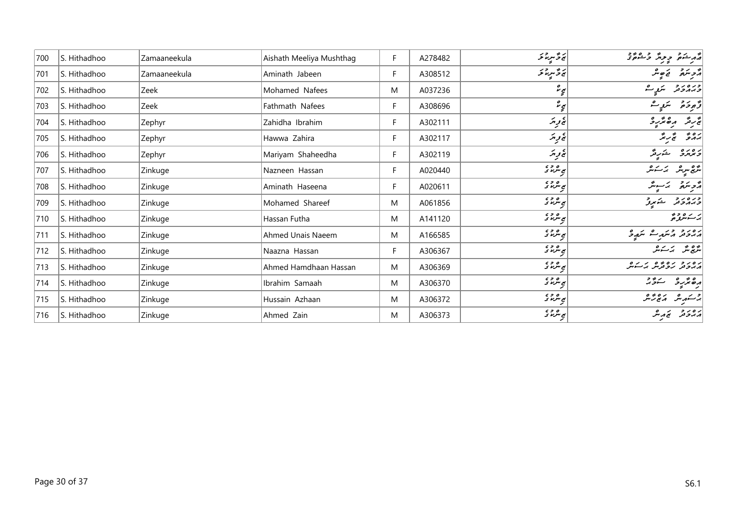| 700 | l S. Hithadhoo | Zamaaneekula | Aishath Meeliya Mushthag | F. | A278482 | ئەۋسىدە ئە        | أأثار مشكاة والمحرور والمشاءور             |
|-----|----------------|--------------|--------------------------|----|---------|-------------------|--------------------------------------------|
| 701 | S. Hithadhoo   | Zamaaneekula | Aminath Jabeen           | F  | A308512 | ى ئۇ سرىر ئىر     | أثر حرم من من المحمد المحمد                |
| 702 | IS. Hithadhoo  | Zeek         | Mohamed Nafees           | M  | A037236 | ىپى               | درەرد سَرِے                                |
| 703 | S. Hithadhoo   | Zeek         | Fathmath Nafees          | F. | A308696 | ە<br>ئىچ          | أزودة سيرب                                 |
| 704 | IS. Hithadhoo  | Zephyr       | Zahidha Ibrahim          | F. | A302111 | ئچ پو ہئر         | كمخ رقد مقتررة                             |
| 705 | S. Hithadhoo   | Zephyr       | Hawwa Zahira             | F. | A302117 | ځ نو د تر         | رەپ پچ رېڅ                                 |
| 706 | S. Hithadhoo   | Zephyr       | Mariyam Shaheedha        | F. | A302119 | ئچ پو ہئر         | ئەتەر ئە<br>شقى قر                         |
| 707 | S. Hithadhoo   | Zinkuge      | Nazneen Hassan           | F  | A020440 | ى مىڭرىدى         | شھاسریں   پرکسی                            |
| 708 | S. Hithadhoo   | Zinkuge      | Aminath Haseena          | F. | A020611 | ى مەرىرى          | أمراد متسبقه                               |
| 709 | IS. Hithadhoo  | Zinkuge      | Mohamed Shareef          | M  | A061856 | بر مرگری          | وره ر و<br>  وردوند شعيرتی                 |
| 710 | IS. Hithadhoo  | Zinkuge      | Hassan Futha             | M  | A141120 | ى مىڭرىم ئ        | بر سەھرىدى                                 |
| 711 | S. Hithadhoo   | Zinkuge      | Ahmed Unais Naeem        | M  | A166585 | ى مىڭرىم ئ        | أيرو و و مند عا مند و                      |
| 712 | S. Hithadhoo   | Zinkuge      | Naazna Hassan            | F  | A306367 | ىم مىر بر دى      | سرچ سُر پر سکاملر                          |
| 713 | S. Hithadhoo   | Zinkuge      | Ahmed Hamdhaan Hassan    | M  | A306369 | ى مىڭرىم ئ        | رە روپە دەپەر بەسەر<br>مەروىي تارىخى بەسەر |
| 714 | S. Hithadhoo   | Zinkuge      | Ibrahim Samaah           | M  | A306370 | بر مرگری          | コチン<br>ەھ ترىر ۋ<br>سسور بر<br>$\sim$      |
| 715 | S. Hithadhoo   | Zinkuge      | Hussain Azhaan           | M  | A306372 | 0.50<br>ہے سربر ت | جەسىر مەم يەر                              |
| 716 | S. Hithadhoo   | Zinkuge      | Ahmed Zain               | M  | A306373 | ى مەردى           | أرەرو ئەرش                                 |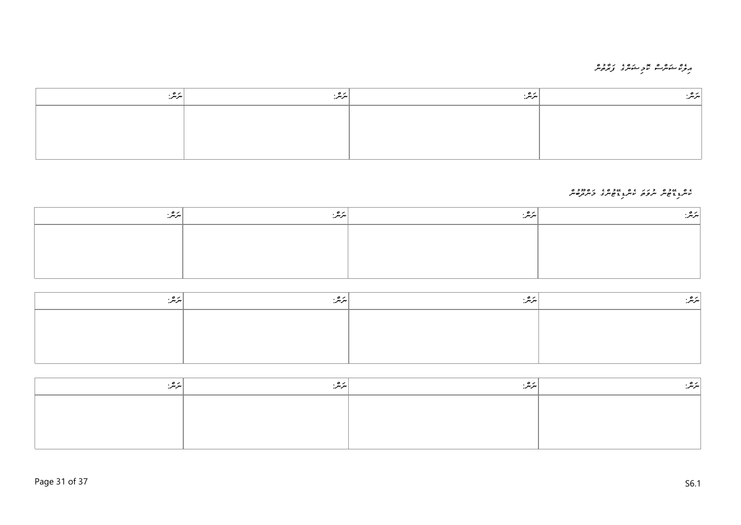## *w7qAn8m? sCw7mRo>u; wEw7mRw;sBo<*

| ' مرمر | 'يئرىثر: |
|--------|----------|
|        |          |
|        |          |
|        |          |

## *w7q9r@w7m> sCw7qHtFoFw7s; mAm=q7 w7qHtFoFw7s;*

| ىر تە | $\mathcal{O} \times$<br>$\sim$ | $\sim$<br>. . | لترنثر |
|-------|--------------------------------|---------------|--------|
|       |                                |               |        |
|       |                                |               |        |
|       |                                |               |        |

| يره | $^{\circ}$ | $\frac{2}{n}$ | $^{\circ}$<br>سرسر. |
|-----|------------|---------------|---------------------|
|     |            |               |                     |
|     |            |               |                     |
|     |            |               |                     |

| ' ئىرتىر: | سر سر |  |
|-----------|-------|--|
|           |       |  |
|           |       |  |
|           |       |  |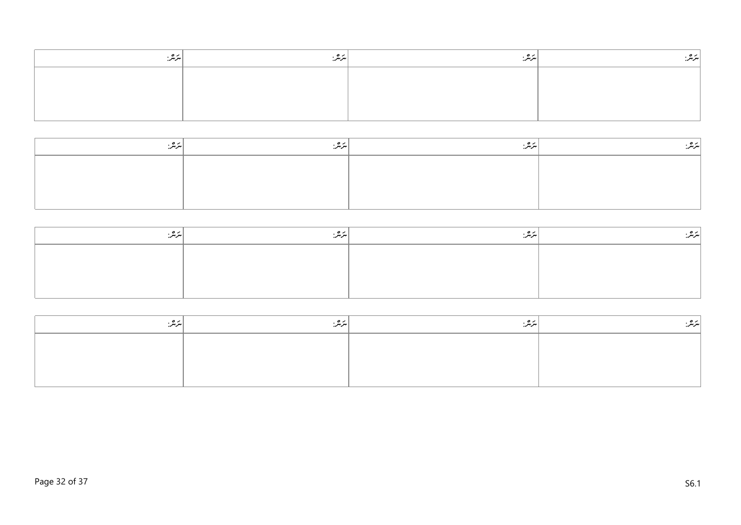| يزهر | $^{\circ}$ | ىئرىتر: |  |
|------|------------|---------|--|
|      |            |         |  |
|      |            |         |  |
|      |            |         |  |

| متريثر به | 。<br>'سرسر'۔ | يتزيترا | سرسر |
|-----------|--------------|---------|------|
|           |              |         |      |
|           |              |         |      |
|           |              |         |      |

| ىئرىتر. | $\sim$ | ا بر هه. | لىرىش |
|---------|--------|----------|-------|
|         |        |          |       |
|         |        |          |       |
|         |        |          |       |

| 。<br>مرس. | $\overline{\phantom{a}}$<br>مر مىر | يتريثر |
|-----------|------------------------------------|--------|
|           |                                    |        |
|           |                                    |        |
|           |                                    |        |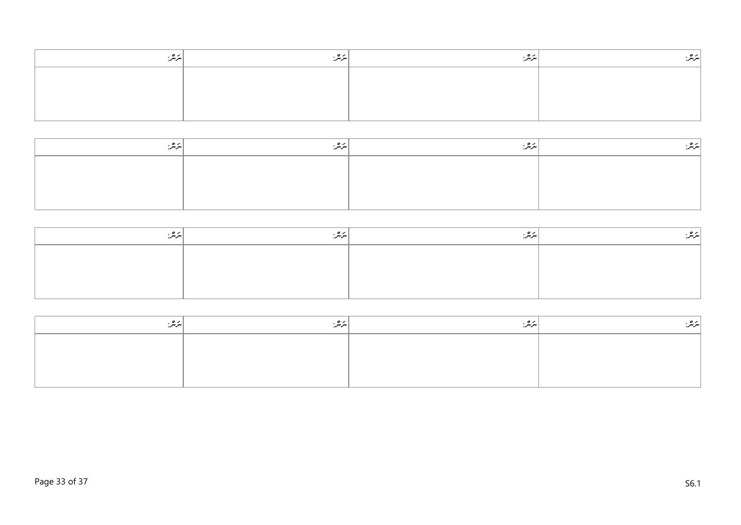| ير هو . | $\overline{\phantom{a}}$ | يرمر | اير هنه. |
|---------|--------------------------|------|----------|
|         |                          |      |          |
|         |                          |      |          |
|         |                          |      |          |

| ىر تىر: | $\circ$ $\sim$<br>" سرسر . | يترمير | o . |
|---------|----------------------------|--------|-----|
|         |                            |        |     |
|         |                            |        |     |
|         |                            |        |     |

| الترنثر: | ' مرتكز: | الترنثر: | .,<br>سرسر. |
|----------|----------|----------|-------------|
|          |          |          |             |
|          |          |          |             |
|          |          |          |             |

|  | . ه |
|--|-----|
|  |     |
|  |     |
|  |     |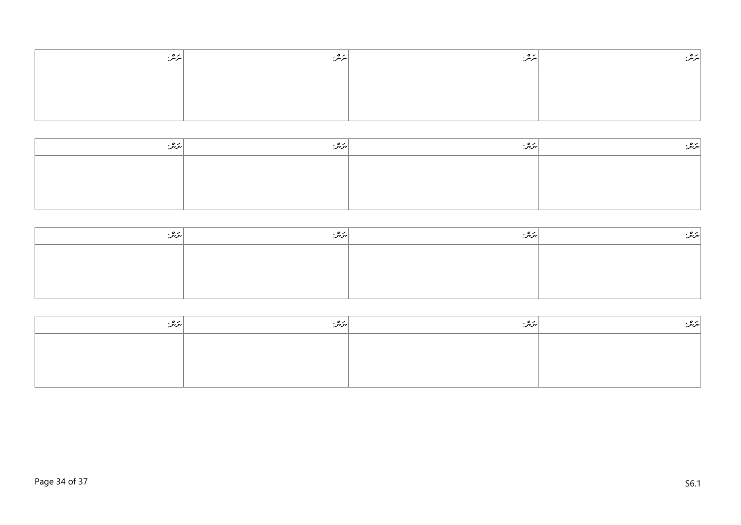| ير هو . | $\overline{\phantom{a}}$ | يرمر | اير هنه. |
|---------|--------------------------|------|----------|
|         |                          |      |          |
|         |                          |      |          |
|         |                          |      |          |

| ئىرتىر: | $\sim$<br>ا سرسر . | يئرمثر | o . |
|---------|--------------------|--------|-----|
|         |                    |        |     |
|         |                    |        |     |
|         |                    |        |     |

| الترنثر: | ' مرتكز: | الترنثر: | .,<br>سرسر. |
|----------|----------|----------|-------------|
|          |          |          |             |
|          |          |          |             |
|          |          |          |             |

|  | . ه |
|--|-----|
|  |     |
|  |     |
|  |     |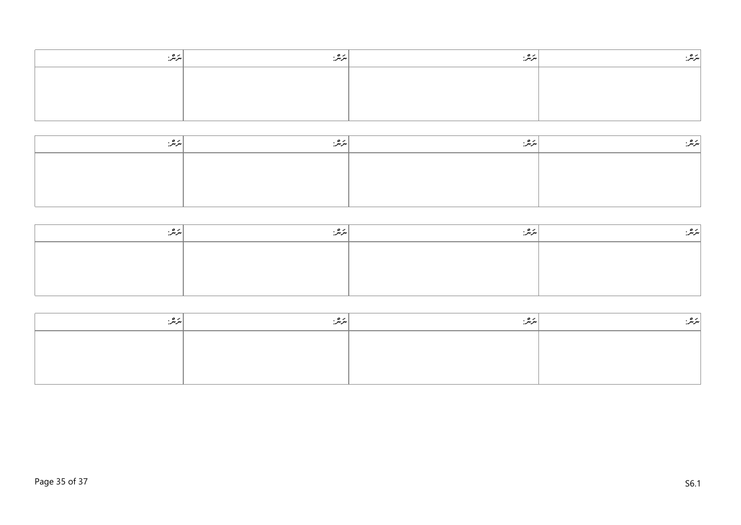| $\cdot$ | ο. | $\frac{\circ}{\cdot}$ | $\sim$<br>سرسر |
|---------|----|-----------------------|----------------|
|         |    |                       |                |
|         |    |                       |                |
|         |    |                       |                |

| ايرعر: | ر ه<br>. . |  |
|--------|------------|--|
|        |            |  |
|        |            |  |
|        |            |  |

| بر ه | 。 | $\sim$<br>َ سومس. |  |
|------|---|-------------------|--|
|      |   |                   |  |
|      |   |                   |  |
|      |   |                   |  |

| 。<br>. س | ىرىىر |  |
|----------|-------|--|
|          |       |  |
|          |       |  |
|          |       |  |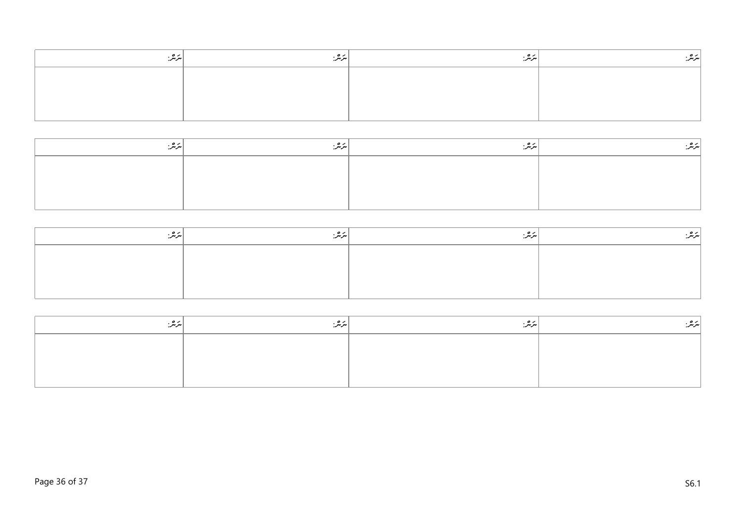| ير هو . | $\overline{\phantom{a}}$ | يرمر | لتزمثن |
|---------|--------------------------|------|--------|
|         |                          |      |        |
|         |                          |      |        |
|         |                          |      |        |

| ىر تىر: | $\circ$ $\sim$<br>" سرسر . | يترمير | o . |
|---------|----------------------------|--------|-----|
|         |                            |        |     |
|         |                            |        |     |
|         |                            |        |     |

| انترنثر: | ر ه |  |
|----------|-----|--|
|          |     |  |
|          |     |  |
|          |     |  |

|  | . ه |
|--|-----|
|  |     |
|  |     |
|  |     |